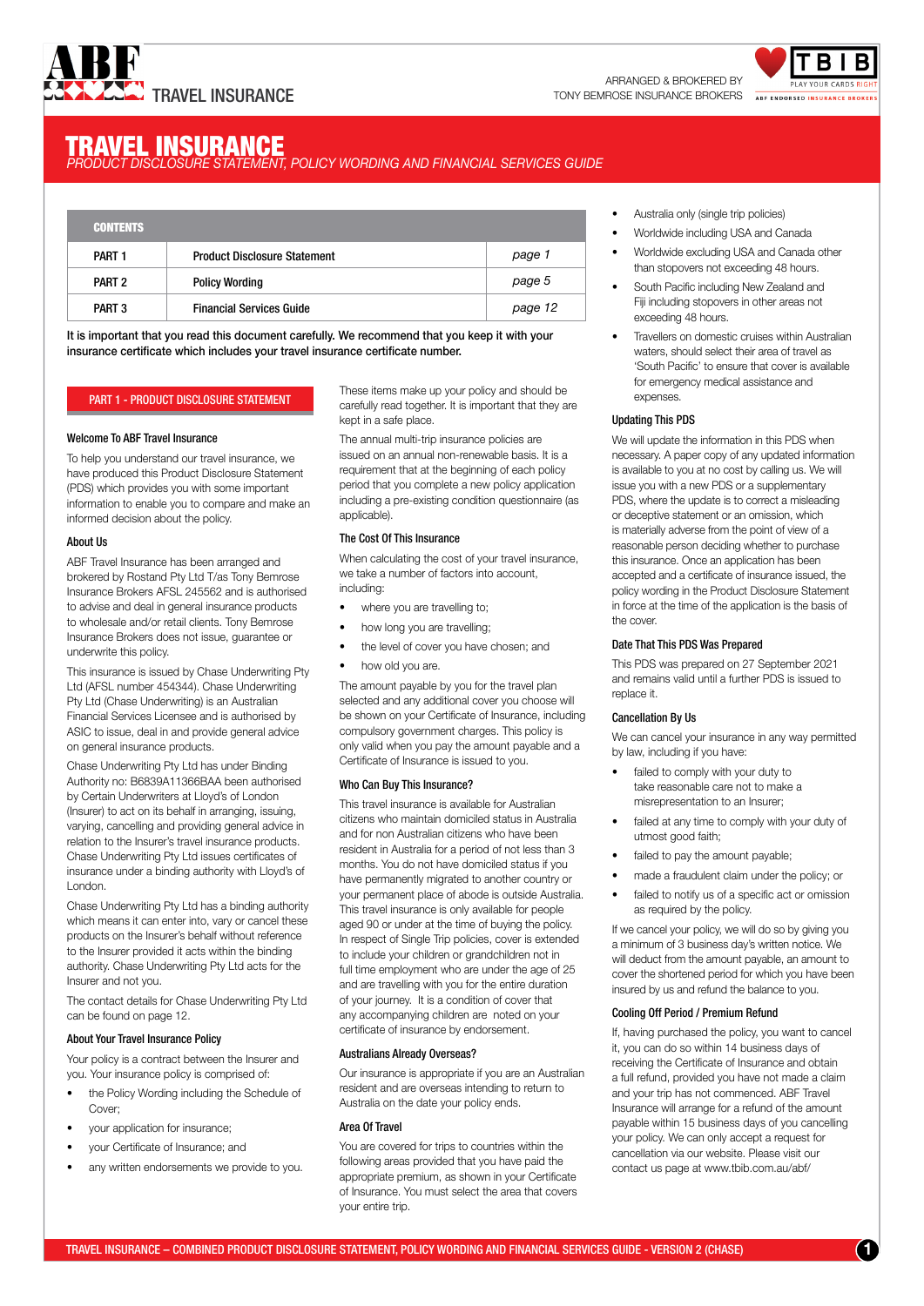



# **TRAVEL INSURANCE**<br>PRODUCT DISCLOSURE STATEMENT, POLICY WORDING AND FINANCIAL SERVICES GUIDE

| <b>CONTENTS</b>   |                                     |         |
|-------------------|-------------------------------------|---------|
| PART <sub>1</sub> | <b>Product Disclosure Statement</b> | page 1  |
| PART <sub>2</sub> | <b>Policy Wording</b>               | page 5  |
| PART <sub>3</sub> | <b>Financial Services Guide</b>     | page 12 |

It is important that you read this document carefully. We recommend that you keep it with your insurance certificate which includes your travel insurance certificate number.

# PART 1 - PRODUCT DISCLOSURE STATEMENT

# Welcome To ABF Travel Insurance

To help you understand our travel insurance, we have produced this Product Disclosure Statement (PDS) which provides you with some important information to enable you to compare and make an informed decision about the policy.

# About Us

ABF Travel Insurance has been arranged and brokered by Rostand Pty Ltd T/as Tony Bemrose Insurance Brokers AFSL 245562 and is authorised to advise and deal in general insurance products to wholesale and/or retail clients. Tony Bemrose Insurance Brokers does not issue, guarantee or underwrite this policy.

This insurance is issued by Chase Underwriting Pty Ltd (AFSL number 454344). Chase Underwriting Pty Ltd (Chase Underwriting) is an Australian Financial Services Licensee and is authorised by ASIC to issue, deal in and provide general advice on general insurance products.

Chase Underwriting Pty Ltd has under Binding Authority no: B6839A11366BAA been authorised by Certain Underwriters at Lloyd's of London (Insurer) to act on its behalf in arranging, issuing, varying, cancelling and providing general advice in relation to the Insurer's travel insurance products. Chase Underwriting Pty Ltd issues certificates of insurance under a binding authority with Lloyd's of London.

Chase Underwriting Pty Ltd has a binding authority which means it can enter into, vary or cancel these products on the Insurer's behalf without reference to the Insurer provided it acts within the binding authority. Chase Underwriting Pty Ltd acts for the Insurer and not you.

The contact details for Chase Underwriting Pty Ltd can be found on page 12.

# About Your Travel Insurance Policy

Your policy is a contract between the Insurer and you. Your insurance policy is comprised of:

- the Policy Wording including the Schedule of Cover;
- your application for insurance;
- your Certificate of Insurance; and
- any written endorsements we provide to you.

These items make up your policy and should be carefully read together. It is important that they are kept in a safe place.

The annual multi-trip insurance policies are issued on an annual non-renewable basis. It is a requirement that at the beginning of each policy period that you complete a new policy application including a pre-existing condition questionnaire (as applicable).

# The Cost Of This Insurance

When calculating the cost of your travel insurance, we take a number of factors into account, including:

- where you are travelling to;
- how long you are travelling;
- the level of cover you have chosen; and
- how old you are.

The amount payable by you for the travel plan selected and any additional cover you choose will be shown on your Certificate of Insurance, including compulsory government charges. This policy is only valid when you pay the amount payable and a Certificate of Insurance is issued to you.

# Who Can Buy This Insurance?

This travel insurance is available for Australian citizens who maintain domiciled status in Australia and for non Australian citizens who have been resident in Australia for a period of not less than 3 months. You do not have domiciled status if you have permanently migrated to another country or your permanent place of abode is outside Australia. This travel insurance is only available for people aged 90 or under at the time of buying the policy. In respect of Single Trip policies, cover is extended to include your children or grandchildren not in full time employment who are under the age of 25 and are travelling with you for the entire duration of your journey. It is a condition of cover that any accompanying children are noted on your certificate of insurance by endorsement.

# Australians Already Overseas?

Our insurance is appropriate if you are an Australian resident and are overseas intending to return to Australia on the date your policy ends.

# Area Of Travel

You are covered for trips to countries within the following areas provided that you have paid the appropriate premium, as shown in your Certificate of Insurance. You must select the area that covers your entire trip.

- Australia only (single trip policies)
- Worldwide including USA and Canada
- Worldwide excluding USA and Canada other than stopovers not exceeding 48 hours.
- South Pacific including New Zealand and Fiji including stopovers in other areas not exceeding 48 hours.
- Travellers on domestic cruises within Australian waters, should select their area of travel as 'South Pacific' to ensure that cover is available for emergency medical assistance and expenses.

# Updating This PDS

We will update the information in this PDS when necessary. A paper copy of any updated information is available to you at no cost by calling us. We will issue you with a new PDS or a supplementary PDS, where the update is to correct a misleading or deceptive statement or an omission, which is materially adverse from the point of view of a reasonable person deciding whether to purchase this insurance. Once an application has been accepted and a certificate of insurance issued, the policy wording in the Product Disclosure Statement in force at the time of the application is the basis of the cover.

# Date That This PDS Was Prepared

This PDS was prepared on 27 September 2021 and remains valid until a further PDS is issued to replace it.

# Cancellation By Us

We can cancel your insurance in any way permitted by law, including if you have:

- failed to comply with your duty to take reasonable care not to make a misrepresentation to an Insurer;
- failed at any time to comply with your duty of utmost good faith;
- failed to pay the amount payable;
- made a fraudulent claim under the policy; or
- failed to notify us of a specific act or omission as required by the policy.

If we cancel your policy, we will do so by giving you a minimum of 3 business day's written notice. We will deduct from the amount payable, an amount to cover the shortened period for which you have been insured by us and refund the balance to you.

# Cooling Off Period / Premium Refund

If, having purchased the policy, you want to cancel it, you can do so within 14 business days of receiving the Certificate of Insurance and obtain a full refund, provided you have not made a claim and your trip has not commenced. ABF Travel Insurance will arrange for a refund of the amount payable within 15 business days of you cancelling your policy. We can only accept a request for cancellation via our website. Please visit our contact us page at www.tbib.com.au/abf/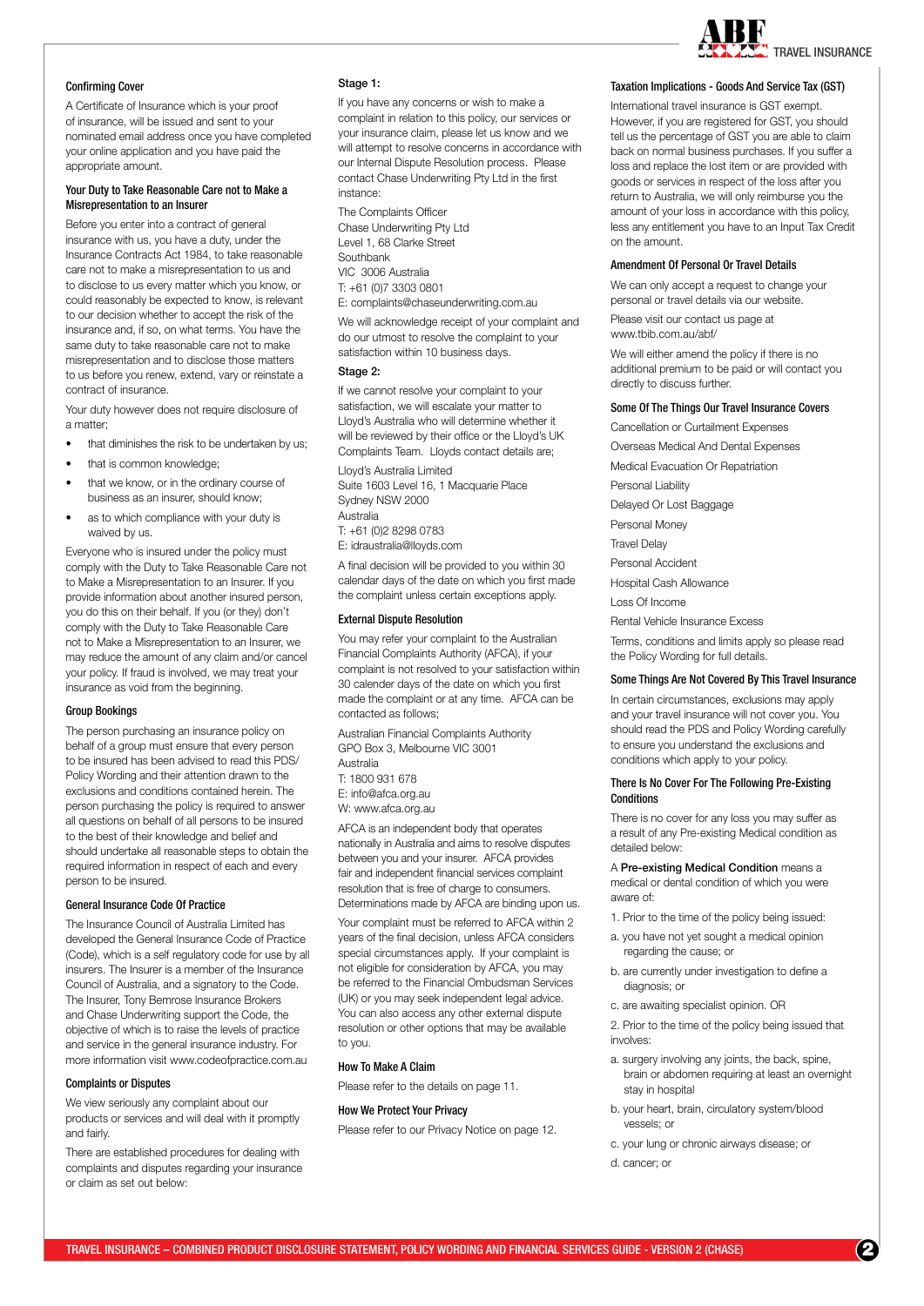

# Confirming Cover

A Certificate of Insurance which is your proof of insurance, will be issued and sent to your nominated email address once you have completed your online application and you have paid the appropriate amount.

# Your Duty to Take Reasonable Care not to Make a Misrepresentation to an Insurer

Before you enter into a contract of general insurance with us, you have a duty, under the Insurance Contracts Act 1984, to take reasonable care not to make a misrepresentation to us and to disclose to us every matter which you know, or could reasonably be expected to know, is relevant to our decision whether to accept the risk of the insurance and, if so, on what terms. You have the same duty to take reasonable care not to make misrepresentation and to disclose those matters to us before you renew, extend, vary or reinstate a contract of insurance.

Your duty however does not require disclosure of a matter;

- that diminishes the risk to be undertaken by us;
- that is common knowledge;
- that we know, or in the ordinary course of business as an insurer, should know;
- as to which compliance with your duty is waived by us.

Everyone who is insured under the policy must comply with the Duty to Take Reasonable Care not to Make a Misrepresentation to an Insurer. If you provide information about another insured person, you do this on their behalf. If you (or they) don't comply with the Duty to Take Reasonable Care not to Make a Misrepresentation to an Insurer, we may reduce the amount of any claim and/or cancel your policy. If fraud is involved, we may treat your insurance as void from the beginning.

# Group Bookings

The person purchasing an insurance policy on behalf of a group must ensure that every person to be insured has been advised to read this PDS/ Policy Wording and their attention drawn to the exclusions and conditions contained herein. The person purchasing the policy is required to answer all questions on behalf of all persons to be insured to the best of their knowledge and belief and should undertake all reasonable steps to obtain the required information in respect of each and every person to be insured.

# General Insurance Code Of Practice

The Insurance Council of Australia Limited has developed the General Insurance Code of Practice (Code), which is a self regulatory code for use by all insurers. The Insurer is a member of the Insurance Council of Australia, and a signatory to the Code. The Insurer, Tony Bemrose Insurance Brokers and Chase Underwriting support the Code, the objective of which is to raise the levels of practice and service in the general insurance industry. For more information visit www.codeofpractice.com.au

#### Complaints or Disputes

We view seriously any complaint about our products or services and will deal with it promptly and fairly.

There are established procedures for dealing with complaints and disputes regarding your insurance or claim as set out below:

# Stage 1:

If you have any concerns or wish to make a complaint in relation to this policy, our services or your insurance claim, please let us know and we will attempt to resolve concerns in accordance with our Internal Dispute Resolution process. Please contact Chase Underwriting Pty Ltd in the first instance:

The Complaints Officer Chase Underwriting Pty Ltd Level 1, 68 Clarke Street **Southbank** VIC 3006 Australia T: +61 (0)7 3303 0801 E: complaints@chaseunderwriting.com.au

We will acknowledge receipt of your complaint and do our utmost to resolve the complaint to your satisfaction within 10 business days.

# Stage 2:

If we cannot resolve your complaint to your satisfaction, we will escalate your matter to Lloyd's Australia who will determine whether it will be reviewed by their office or the Lloyd's UK Complaints Team. Lloyds contact details are;

Lloyd's Australia Limited Suite 1603 Level 16, 1 Macquarie Place Sydney NSW 2000 Australia T: +61 (0)2 8298 0783

E: idraustralia@lloyds.com

A final decision will be provided to you within 30 calendar days of the date on which you first made the complaint unless certain exceptions apply.

# External Dispute Resolution

You may refer your complaint to the Australian Financial Complaints Authority (AFCA), if your complaint is not resolved to your satisfaction within 30 calender days of the date on which you first made the complaint or at any time. AFCA can be contacted as follows;

Australian Financial Complaints Authority GPO Box 3, Melbourne VIC 3001 Australia

T: 1800 931 678

- E: info@afca.org.au
- W: www.afca.org.au

AFCA is an independent body that operates nationally in Australia and aims to resolve disputes between you and your insurer. AFCA provides fair and independent financial services complaint resolution that is free of charge to consumers. Determinations made by AFCA are binding upon us.

Your complaint must be referred to AFCA within 2 years of the final decision, unless AFCA considers special circumstances apply. If your complaint is not eligible for consideration by AFCA, you may be referred to the Financial Ombudsman Services (UK) or you may seek independent legal advice. You can also access any other external dispute resolution or other options that may be available to you.

#### How To Make A Claim

Please refer to the details on page 11.

# How We Protect Your Privacy

Please refer to our Privacy Notice on page 12.

# Taxation Implications - Goods And Service Tax (GST)

International travel insurance is GST exempt. However, if you are registered for GST, you should tell us the percentage of GST you are able to claim back on normal business purchases. If you suffer a loss and replace the lost item or are provided with goods or services in respect of the loss after you return to Australia, we will only reimburse you the amount of your loss in accordance with this policy, less any entitlement you have to an Input Tax Credit on the amount.

# Amendment Of Personal Or Travel Details

We can only accept a request to change your personal or travel details via our website.

Please visit our contact us page at www.tbib.com.au/abf/

We will either amend the policy if there is no additional premium to be paid or will contact you directly to discuss further.

## Some Of The Things Our Travel Insurance Covers

Cancellation or Curtailment Expenses

Overseas Medical And Dental Expenses

Medical Evacuation Or Repatriation

Personal Liability

Delayed Or Lost Baggage

Personal Money

Travel Delay

Personal Accident

Hospital Cash Allowance

Loss Of Income

Rental Vehicle Insurance Excess

Terms, conditions and limits apply so please read the Policy Wording for full details.

#### Some Things Are Not Covered By This Travel Insurance

In certain circumstances, exclusions may apply and your travel insurance will not cover you. You should read the PDS and Policy Wording carefully to ensure you understand the exclusions and conditions which apply to your policy.

#### There Is No Cover For The Following Pre-Existing **Conditions**

There is no cover for any loss you may suffer as a result of any Pre-existing Medical condition as detailed below:

A Pre-existing Medical Condition means a medical or dental condition of which you were aware of:

- 1. Prior to the time of the policy being issued:
- a. you have not yet sought a medical opinion regarding the cause; or
- b. are currently under investigation to define a diagnosis; or
- c. are awaiting specialist opinion. OR

2. Prior to the time of the policy being issued that involves:

- a. surgery involving any joints, the back, spine, brain or abdomen requiring at least an overnight stay in hospital
- b. your heart, brain, circulatory system/blood vessels; or
- c. your lung or chronic airways disease; or
- d. cancer; or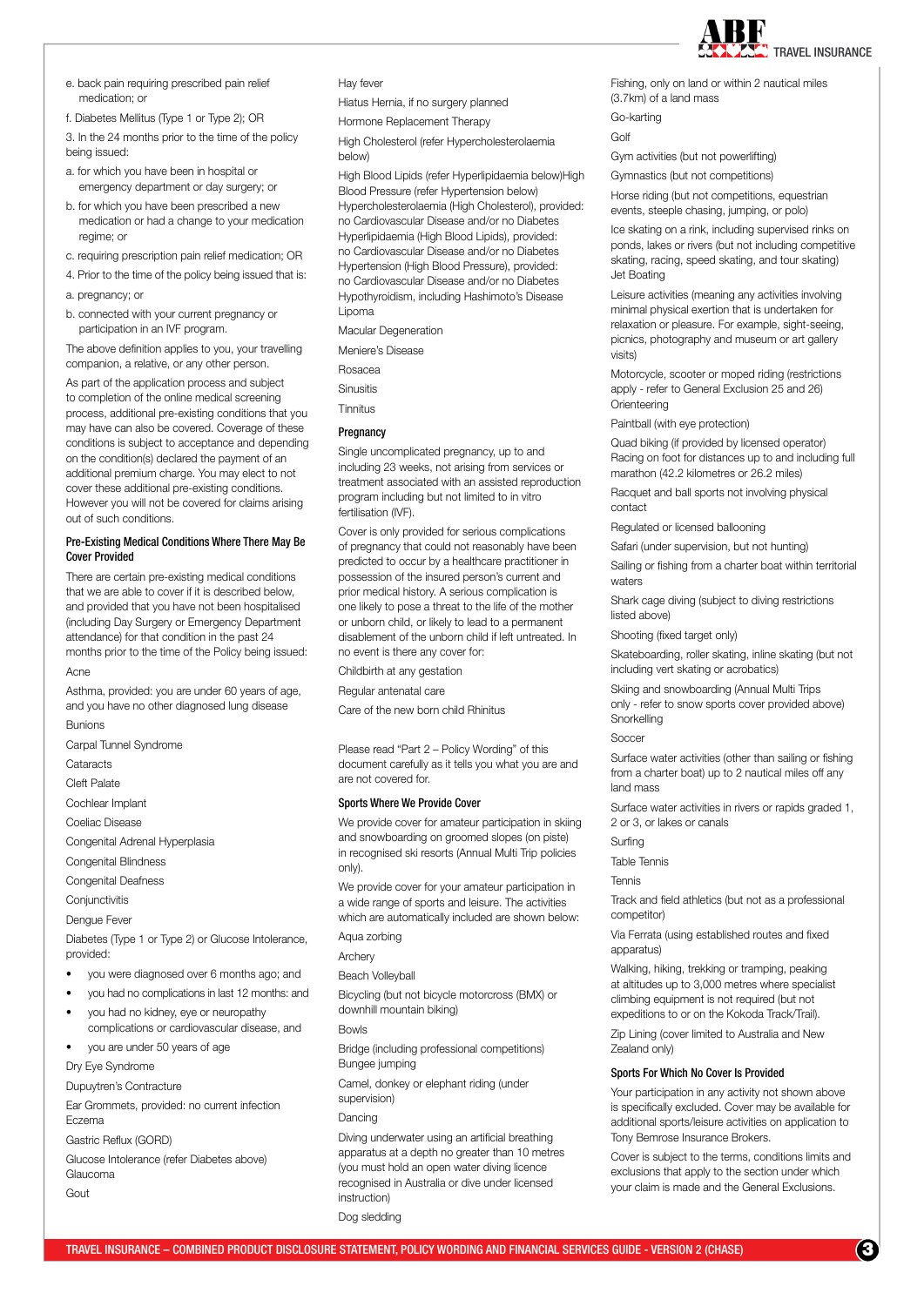

e. back pain requiring prescribed pain relief medication; or

f. Diabetes Mellitus (Type 1 or Type 2); OR

3. In the 24 months prior to the time of the policy being issued:

- a. for which you have been in hospital or emergency department or day surgery; or
- b. for which you have been prescribed a new medication or had a change to your medication regime; or
- c. requiring prescription pain relief medication; OR
- 4. Prior to the time of the policy being issued that is: a. pregnancy; or
- b. connected with your current pregnancy or participation in an IVF program.

The above definition applies to you, your travelling companion, a relative, or any other person.

As part of the application process and subject to completion of the online medical screening process, additional pre-existing conditions that you may have can also be covered. Coverage of these conditions is subject to acceptance and depending on the condition(s) declared the payment of an additional premium charge. You may elect to not cover these additional pre-existing conditions. However you will not be covered for claims arising out of such conditions.

# Pre-Existing Medical Conditions Where There May Be Cover Provided

There are certain pre-existing medical conditions that we are able to cover if it is described below, and provided that you have not been hospitalised (including Day Surgery or Emergency Department attendance) for that condition in the past 24 months prior to the time of the Policy being issued: Acne

Asthma, provided: you are under 60 years of age, and you have no other diagnosed lung disease Bunions

Carpal Tunnel Syndrome

**Cataracts** 

Cleft Palate

Cochlear Implant

Coeliac Disease

Congenital Adrenal Hyperplasia

Congenital Blindness

Congenital Deafness

**Conjunctivitis** 

Dengue Fever

Diabetes (Type 1 or Type 2) or Glucose Intolerance, provided:

- you were diagnosed over 6 months ago; and
- you had no complications in last 12 months: and
- you had no kidney, eye or neuropathy complications or cardiovascular disease, and
- you are under 50 years of age

Dry Eye Syndrome

Dupuytren's Contracture

Ear Grommets, provided: no current infection Eczema

Gastric Reflux (GORD)

Glucose Intolerance (refer Diabetes above) Glaucoma

Gout

Hay fever

Hiatus Hernia, if no surgery planned

Hormone Replacement Therapy

High Cholesterol (refer Hypercholesterolaemia below)

High Blood Lipids (refer Hyperlipidaemia below)High Blood Pressure (refer Hypertension below) Hypercholesterolaemia (High Cholesterol), provided: no Cardiovascular Disease and/or no Diabetes Hyperlipidaemia (High Blood Lipids), provided: no Cardiovascular Disease and/or no Diabetes Hypertension (High Blood Pressure), provided: no Cardiovascular Disease and/or no Diabetes Hypothyroidism, including Hashimoto's Disease Lipoma

Macular Degeneration

Meniere's Disease

Rosacea

Sinusitis

Tinnitus

**Pregnancy** 

Single uncomplicated pregnancy, up to and including 23 weeks, not arising from services or treatment associated with an assisted reproduction program including but not limited to in vitro fertilisation (IVF).

Cover is only provided for serious complications of pregnancy that could not reasonably have been predicted to occur by a healthcare practitioner in possession of the insured person's current and prior medical history. A serious complication is one likely to pose a threat to the life of the mother or unborn child, or likely to lead to a permanent disablement of the unborn child if left untreated. In no event is there any cover for:

Childbirth at any gestation

Regular antenatal care

Care of the new born child Rhinitus

Please read "Part 2 – Policy Wording" of this document carefully as it tells you what you are and are not covered for.

#### Sports Where We Provide Cover

We provide cover for amateur participation in skiing and snowboarding on groomed slopes (on piste) in recognised ski resorts (Annual Multi Trip policies only).

We provide cover for your amateur participation in a wide range of sports and leisure. The activities which are automatically included are shown below:

Aqua zorbing

Archery

Beach Volleyball

Bicycling (but not bicycle motorcross (BMX) or downhill mountain biking)

Bowls

Bridge (including professional competitions) Bungee jumping

Camel, donkey or elephant riding (under

supervision)

# Dancing

Diving underwater using an artificial breathing apparatus at a depth no greater than 10 metres (you must hold an open water diving licence recognised in Australia or dive under licensed instruction)

Dog sledding

Fishing, only on land or within 2 nautical miles (3.7km) of a land mass

Go-karting

Golf

Gym activities (but not powerlifting)

Gymnastics (but not competitions)

Horse riding (but not competitions, equestrian events, steeple chasing, jumping, or polo)

Ice skating on a rink, including supervised rinks on ponds, lakes or rivers (but not including competitive skating, racing, speed skating, and tour skating) Jet Boating

Leisure activities (meaning any activities involving minimal physical exertion that is undertaken for relaxation or pleasure. For example, sight-seeing, picnics, photography and museum or art gallery visits)

Motorcycle, scooter or moped riding (restrictions apply - refer to General Exclusion 25 and 26) **Orienteering** 

Paintball (with eye protection)

Quad biking (if provided by licensed operator) Racing on foot for distances up to and including full marathon (42.2 kilometres or 26.2 miles)

Racquet and ball sports not involving physical contact

Regulated or licensed ballooning

Safari (under supervision, but not hunting)

Sailing or fishing from a charter boat within territorial waters

Shark cage diving (subject to diving restrictions listed above)

Shooting (fixed target only)

Skateboarding, roller skating, inline skating (but not including vert skating or acrobatics)

Skiing and snowboarding (Annual Multi Trips only - refer to snow sports cover provided above) **Snorkelling** 

Soccer

Surface water activities (other than sailing or fishing from a charter boat) up to 2 nautical miles off any land mass

Surface water activities in rivers or rapids graded 1, 2 or 3, or lakes or canals

Surfing

Table Tennis

Tennis

Track and field athletics (but not as a professional competitor)

Via Ferrata (using established routes and fixed apparatus)

Walking, hiking, trekking or tramping, peaking at altitudes up to 3,000 metres where specialist climbing equipment is not required (but not expeditions to or on the Kokoda Track/Trail).

Zip Lining (cover limited to Australia and New Zealand only)

# Sports For Which No Cover Is Provided

Your participation in any activity not shown above is specifically excluded. Cover may be available for additional sports/leisure activities on application to Tony Bemrose Insurance Brokers.

Cover is subject to the terms, conditions limits and exclusions that apply to the section under which your claim is made and the General Exclusions.

**3** 3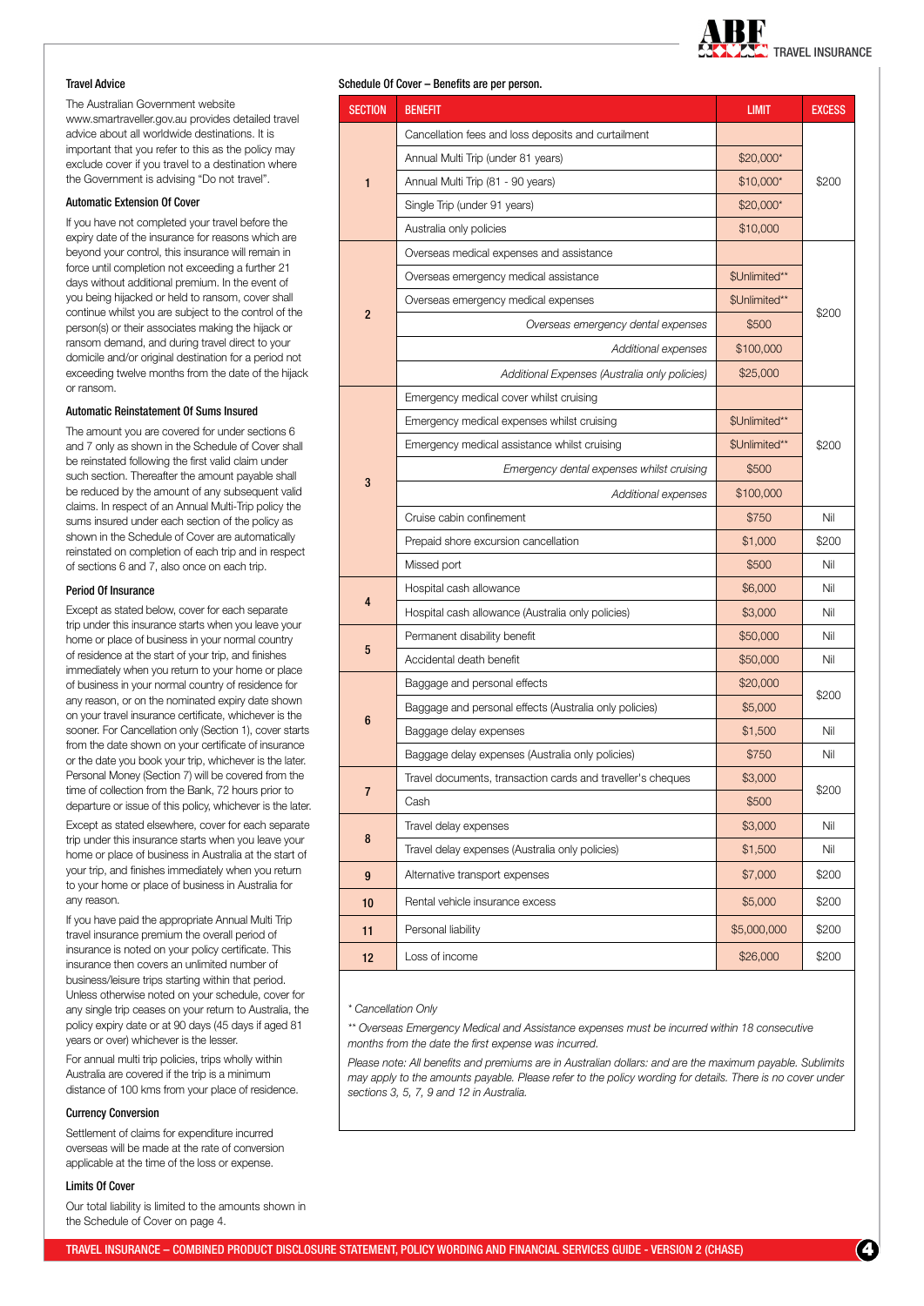

# Travel Advice

The Australian Government website www.smartraveller.gov.au provides detailed travel advice about all worldwide destinations. It is important that you refer to this as the policy may exclude cover if you travel to a destination where the Government is advising "Do not travel".

# Automatic Extension Of Cover

If you have not completed your travel before the expiry date of the insurance for reasons which are beyond your control, this insurance will remain in force until completion not exceeding a further 21 days without additional premium. In the event of you being hijacked or held to ransom, cover shall continue whilst you are subject to the control of the person(s) or their associates making the hijack or ransom demand, and during travel direct to your domicile and/or original destination for a period not exceeding twelve months from the date of the hijack or ransom.

## Automatic Reinstatement Of Sums Insured

The amount you are covered for under sections 6 and 7 only as shown in the Schedule of Cover shall be reinstated following the first valid claim under such section. Thereafter the amount payable shall be reduced by the amount of any subsequent valid claims. In respect of an Annual Multi-Trip policy the sums insured under each section of the policy as shown in the Schedule of Cover are automatically reinstated on completion of each trip and in respect of sections 6 and 7, also once on each trip.

### Period Of Insurance

Except as stated below, cover for each separate trip under this insurance starts when you leave your home or place of business in your normal country of residence at the start of your trip, and finishes immediately when you return to your home or place of business in your normal country of residence for any reason, or on the nominated expiry date shown on your travel insurance certificate, whichever is the sooner. For Cancellation only (Section 1), cover starts from the date shown on your certificate of insurance or the date you book your trip, whichever is the later. Personal Money (Section 7) will be covered from the time of collection from the Bank, 72 hours prior to departure or issue of this policy, whichever is the later.

Except as stated elsewhere, cover for each separate trip under this insurance starts when you leave your home or place of business in Australia at the start of your trip, and finishes immediately when you return to your home or place of business in Australia for any reason.

If you have paid the appropriate Annual Multi Trip travel insurance premium the overall period of insurance is noted on your policy certificate. This insurance then covers an unlimited number of business/leisure trips starting within that period. Unless otherwise noted on your schedule, cover for any single trip ceases on your return to Australia, the policy expiry date or at 90 days (45 days if aged 81 years or over) whichever is the lesser.

For annual multi trip policies, trips wholly within Australia are covered if the trip is a minimum distance of 100 kms from your place of residence.

#### Currency Conversion

Settlement of claims for expenditure incurred overseas will be made at the rate of conversion applicable at the time of the loss or expense.

# Limits Of Cover

Our total liability is limited to the amounts shown in the Schedule of Cover on page 4.

# Schedule Of Cover – Renefits are ner person

| <b>SECTION</b>   | <b>BENEFIT</b>                                              | <b>LIMIT</b>  | <b>EXCESS</b> |  |
|------------------|-------------------------------------------------------------|---------------|---------------|--|
| 1                | Cancellation fees and loss deposits and curtailment         |               |               |  |
|                  | Annual Multi Trip (under 81 years)                          | \$20,000*     | \$200         |  |
|                  | Annual Multi Trip (81 - 90 years)                           | $$10,000*$    |               |  |
|                  | Single Trip (under 91 years)                                | \$20,000*     |               |  |
|                  | Australia only policies                                     | \$10,000      |               |  |
| $\overline{c}$   | Overseas medical expenses and assistance                    |               | \$200         |  |
|                  | Overseas emergency medical assistance                       | \$Unlimited** |               |  |
|                  | Overseas emergency medical expenses                         | \$Unlimited** |               |  |
|                  | Overseas emergency dental expenses                          | \$500         |               |  |
|                  | Additional expenses                                         | \$100,000     |               |  |
|                  | Additional Expenses (Australia only policies)               | \$25,000      |               |  |
| 3                | Emergency medical cover whilst cruising                     |               | \$200         |  |
|                  | Emergency medical expenses whilst cruising                  | \$Unlimited** |               |  |
|                  | Emergency medical assistance whilst cruising                | \$Unlimited** |               |  |
|                  | Emergency dental expenses whilst cruising                   | \$500         |               |  |
|                  | Additional expenses                                         | \$100,000     |               |  |
|                  | Cruise cabin confinement                                    | \$750         | Nil           |  |
|                  | Prepaid shore excursion cancellation                        | \$1,000       | \$200         |  |
|                  | Missed port                                                 | \$500         | Nil           |  |
|                  | Hospital cash allowance                                     | \$6,000       | Nil           |  |
| 4                | Hospital cash allowance (Australia only policies)           | \$3,000       | Nil           |  |
| 5                | Permanent disability benefit                                | \$50,000      | Nil           |  |
|                  | Accidental death benefit                                    | \$50,000      | Nil           |  |
|                  | Baggage and personal effects                                | \$20,000      | \$200         |  |
| 6                | Baggage and personal effects (Australia only policies)      | \$5,000       |               |  |
|                  | Baggage delay expenses                                      | \$1,500       | Nil           |  |
|                  | Baggage delay expenses (Australia only policies)            | \$750         | Nil           |  |
| 7                | Travel documents, transaction cards and traveller's cheques | \$3,000       | \$200         |  |
|                  | Cash                                                        | \$500         |               |  |
| 8                | Travel delay expenses                                       | \$3,000       | Nil           |  |
|                  | Travel delay expenses (Australia only policies)             | \$1,500       | Nil           |  |
| $\boldsymbol{9}$ | Alternative transport expenses                              | \$7,000       | \$200         |  |
| 10               | Rental vehicle insurance excess                             | \$5,000       | \$200         |  |
| 11               | Personal liability                                          | \$5,000,000   | \$200         |  |
| 12               | Loss of income                                              | \$26,000      | \$200         |  |

#### *\* Cancellation Only*

*\*\* Overseas Emergency Medical and Assistance expenses must be incurred within 18 consecutive months from the date the first expense was incurred.*

*Please note: All benefits and premiums are in Australian dollars: and are the maximum payable. Sublimits may apply to the amounts payable. Please refer to the policy wording for details. There is no cover under sections 3, 5, 7, 9 and 12 in Australia.*

**4** 4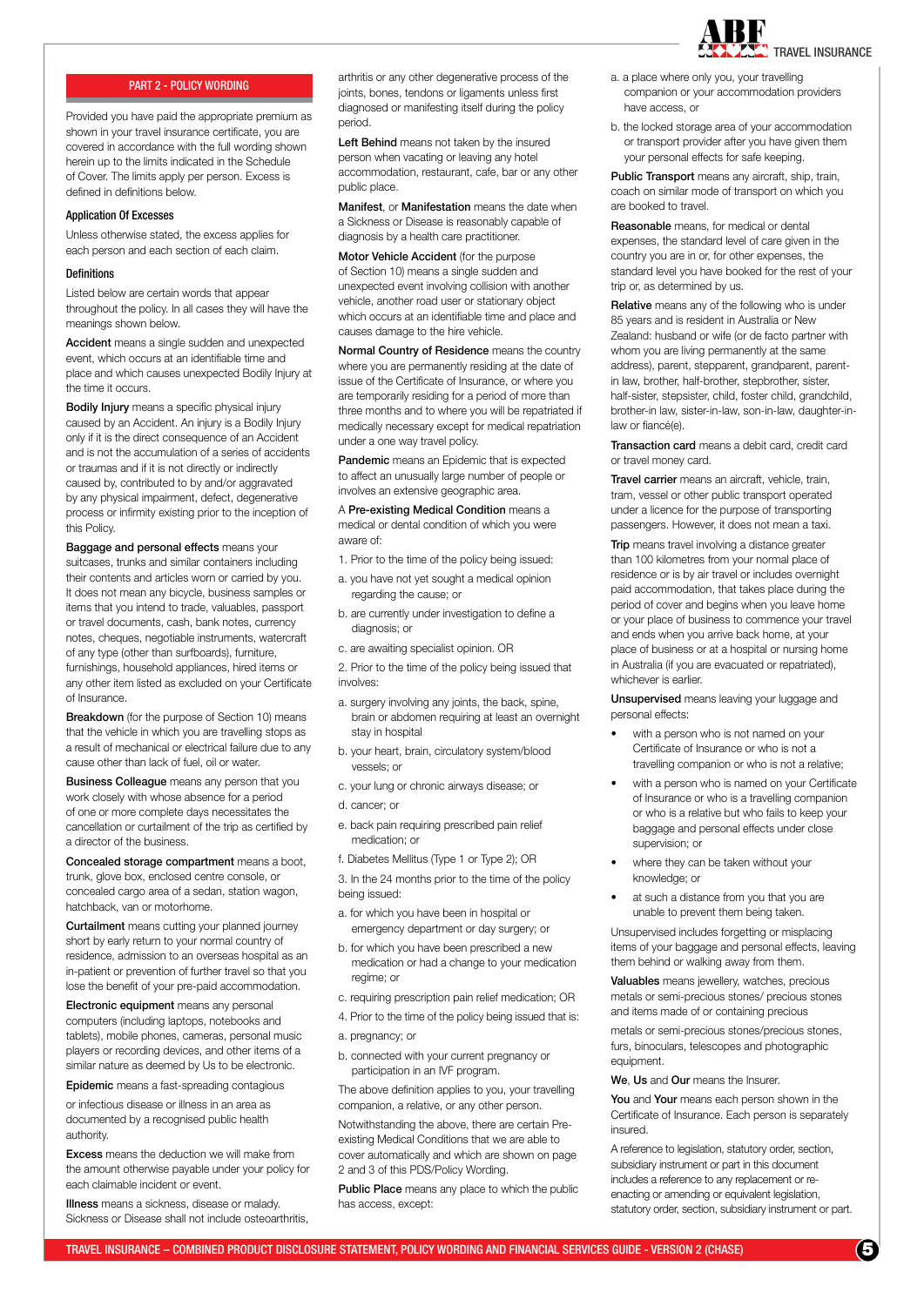

# PART 2 - POLICY WORDING

Provided you have paid the appropriate premium as shown in your travel insurance certificate, you are covered in accordance with the full wording shown herein up to the limits indicated in the Schedule of Cover. The limits apply per person. Excess is defined in definitions below.

#### Application Of Excesses

Unless otherwise stated, the excess applies for each person and each section of each claim.

### **Definitions**

Listed below are certain words that appear throughout the policy. In all cases they will have the meanings shown below.

Accident means a single sudden and unexpected event, which occurs at an identifiable time and place and which causes unexpected Bodily Injury at the time it occurs.

Bodily Injury means a specific physical injury caused by an Accident. An injury is a Bodily Injury only if it is the direct consequence of an Accident and is not the accumulation of a series of accidents or traumas and if it is not directly or indirectly caused by, contributed to by and/or aggravated by any physical impairment, defect, degenerative process or infirmity existing prior to the inception of this Policy.

**Baggage and personal effects means your** suitcases, trunks and similar containers including their contents and articles worn or carried by you. It does not mean any bicycle, business samples or items that you intend to trade, valuables, passport or travel documents, cash, bank notes, currency notes, cheques, negotiable instruments, watercraft of any type (other than surfboards), furniture, furnishings, household appliances, hired items or any other item listed as excluded on your Certificate of Insurance.

Breakdown (for the purpose of Section 10) means that the vehicle in which you are travelling stops as a result of mechanical or electrical failure due to any cause other than lack of fuel, oil or water.

**Business Colleague** means any person that you work closely with whose absence for a period of one or more complete days necessitates the cancellation or curtailment of the trip as certified by a director of the business.

Concealed storage compartment means a boot, trunk, glove box, enclosed centre console, or concealed cargo area of a sedan, station wagon, hatchback, van or motorhome.

Curtailment means cutting your planned journey short by early return to your normal country of residence, admission to an overseas hospital as an in-patient or prevention of further travel so that you lose the benefit of your pre-paid accommodation.

Electronic equipment means any personal computers (including laptops, notebooks and tablets), mobile phones, cameras, personal music players or recording devices, and other items of a similar nature as deemed by Us to be electronic.

Epidemic means a fast-spreading contagious

or infectious disease or illness in an area as documented by a recognised public health authority.

Excess means the deduction we will make from the amount otherwise payable under your policy for each claimable incident or event.

**Illness** means a sickness, disease or malady. Sickness or Disease shall not include osteoarthritis, arthritis or any other degenerative process of the joints, bones, tendons or ligaments unless first diagnosed or manifesting itself during the policy period.

Left Behind means not taken by the insured person when vacating or leaving any hotel accommodation, restaurant, cafe, bar or any other public place.

Manifest, or Manifestation means the date when a Sickness or Disease is reasonably capable of diagnosis by a health care practitioner.

Motor Vehicle Accident (for the purpose of Section 10) means a single sudden and unexpected event involving collision with another vehicle, another road user or stationary object which occurs at an identifiable time and place and causes damage to the hire vehicle.

Normal Country of Residence means the country where you are permanently residing at the date of issue of the Certificate of Insurance, or where you are temporarily residing for a period of more than three months and to where you will be repatriated if medically necessary except for medical repatriation under a one way travel policy.

Pandemic means an Epidemic that is expected to affect an unusually large number of people or involves an extensive geographic area.

A Pre-existing Medical Condition means a medical or dental condition of which you were aware of:

- 1. Prior to the time of the policy being issued:
- a. you have not yet sought a medical opinion regarding the cause; or
- b. are currently under investigation to define a diagnosis; or
- c. are awaiting specialist opinion. OR

2. Prior to the time of the policy being issued that involves

- a. surgery involving any joints, the back, spine, brain or abdomen requiring at least an overnight stay in hospital
- b. your heart, brain, circulatory system/blood vessels; or
- c. your lung or chronic airways disease; or
- d. cancer; or
- e. back pain requiring prescribed pain relief medication; or

f. Diabetes Mellitus (Type 1 or Type 2); OR

3. In the 24 months prior to the time of the policy being issued:

- a. for which you have been in hospital or emergency department or day surgery; or
- b. for which you have been prescribed a new medication or had a change to your medication regime; or
- c. requiring prescription pain relief medication; OR
- 4. Prior to the time of the policy being issued that is:
- a. pregnancy; or
- b. connected with your current pregnancy or participation in an IVF program.

The above definition applies to you, your travelling companion, a relative, or any other person.

Notwithstanding the above, there are certain Preexisting Medical Conditions that we are able to cover automatically and which are shown on page 2 and 3 of this PDS/Policy Wording.

Public Place means any place to which the public has access, except:

- a. a place where only you, your travelling companion or your accommodation providers have access, or
- b. the locked storage area of your accommodation or transport provider after you have given them your personal effects for safe keeping.

Public Transport means any aircraft, ship, train, coach on similar mode of transport on which you are booked to travel.

Reasonable means, for medical or dental expenses, the standard level of care given in the country you are in or, for other expenses, the standard level you have booked for the rest of your trip or, as determined by us.

Relative means any of the following who is under 85 years and is resident in Australia or New Zealand: husband or wife (or de facto partner with whom you are living permanently at the same address), parent, stepparent, grandparent, parentin law, brother, half-brother, stepbrother, sister, half-sister, stepsister, child, foster child, grandchild, brother-in law, sister-in-law, son-in-law, daughter-inlaw or fiancé(e).

**Transaction card** means a debit card, credit card or travel money card.

Travel carrier means an aircraft, vehicle, train, tram, vessel or other public transport operated under a licence for the purpose of transporting passengers. However, it does not mean a taxi.

Trip means travel involving a distance greater than 100 kilometres from your normal place of residence or is by air travel or includes overnight paid accommodation, that takes place during the period of cover and begins when you leave home or your place of business to commence your travel and ends when you arrive back home, at your place of business or at a hospital or nursing home in Australia (if you are evacuated or repatriated), whichever is earlier.

Unsupervised means leaving your luggage and personal effects:

- with a person who is not named on your Certificate of Insurance or who is not a travelling companion or who is not a relative;
- with a person who is named on your Certificate of Insurance or who is a travelling companion or who is a relative but who fails to keep your baggage and personal effects under close supervision; or
- where they can be taken without your knowledge; or
- at such a distance from you that you are unable to prevent them being taken.

Unsupervised includes forgetting or misplacing items of your baggage and personal effects, leaving them behind or walking away from them.

Valuables means jewellery, watches, precious metals or semi-precious stones/ precious stones and items made of or containing precious

metals or semi-precious stones/precious stones, furs, binoculars, telescopes and photographic equipment.

#### We. Us and Our means the Insurer.

You and Your means each person shown in the Certificate of Insurance. Each person is separately insured.

A reference to legislation, statutory order, section, subsidiary instrument or part in this document includes a reference to any replacement or reenacting or amending or equivalent legislation, statutory order, section, subsidiary instrument or part.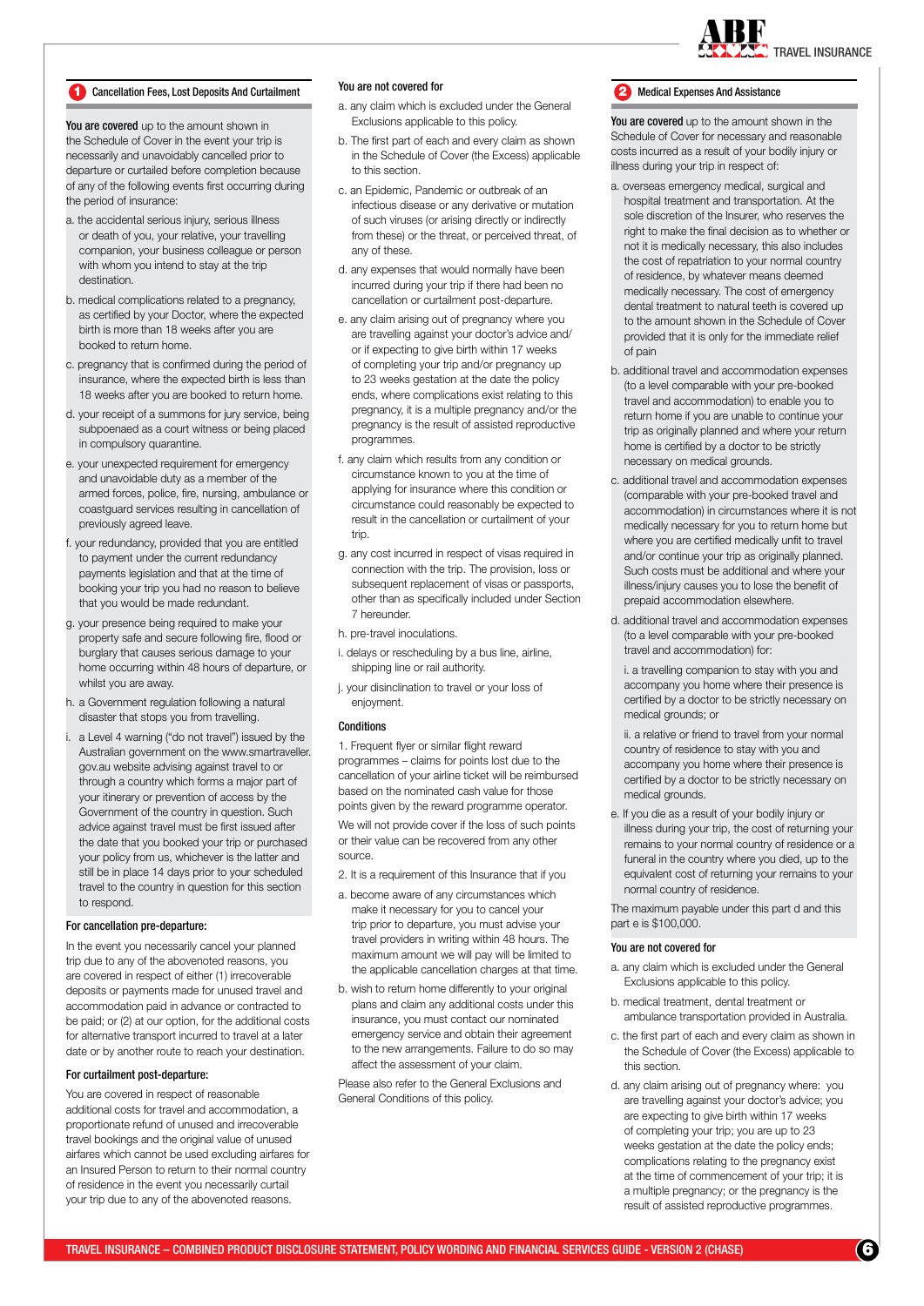

#### 1 Cancellation Fees, Lost Deposits And Curtailment <sup>YOU</sup> are not covered for the state and assistance and Assistance

You are covered up to the amount shown in the Schedule of Cover in the event your trip is necessarily and unavoidably cancelled prior to departure or curtailed before completion because of any of the following events first occurring during the period of insurance:

- a. the accidental serious injury, serious illness or death of you, your relative, your travelling companion, your business colleague or person with whom you intend to stay at the trip destination.
- b. medical complications related to a pregnancy, as certified by your Doctor, where the expected birth is more than 18 weeks after you are booked to return home.
- c. pregnancy that is confirmed during the period of insurance, where the expected birth is less than 18 weeks after you are booked to return home.
- d. your receipt of a summons for jury service, being subpoenaed as a court witness or being placed in compulsory quarantine.
- e. your unexpected requirement for emergency and unavoidable duty as a member of the armed forces, police, fire, nursing, ambulance or coastguard services resulting in cancellation of previously agreed leave.
- f. your redundancy, provided that you are entitled to payment under the current redundancy payments legislation and that at the time of booking your trip you had no reason to believe that you would be made redundant.
- g. your presence being required to make your property safe and secure following fire, flood or burglary that causes serious damage to your home occurring within 48 hours of departure, or whilst you are away.
- h. a Government regulation following a natural disaster that stops you from travelling.
- a Level 4 warning ("do not travel") issued by the Australian government on the www.smartraveller. gov.au website advising against travel to or through a country which forms a major part of your itinerary or prevention of access by the Government of the country in question. Such advice against travel must be first issued after the date that you booked your trip or purchased your policy from us, whichever is the latter and still be in place 14 days prior to your scheduled travel to the country in question for this section to respond.

#### For cancellation pre-departure:

In the event you necessarily cancel your planned trip due to any of the abovenoted reasons, you are covered in respect of either (1) irrecoverable deposits or payments made for unused travel and accommodation paid in advance or contracted to be paid; or (2) at our option, for the additional costs for alternative transport incurred to travel at a later date or by another route to reach your destination.

#### For curtailment post-departure:

You are covered in respect of reasonable additional costs for travel and accommodation, a proportionate refund of unused and irrecoverable travel bookings and the original value of unused airfares which cannot be used excluding airfares for an Insured Person to return to their normal country of residence in the event you necessarily curtail your trip due to any of the abovenoted reasons.

# You are not covered for

- a. any claim which is excluded under the General Exclusions applicable to this policy.
- b. The first part of each and every claim as shown in the Schedule of Cover (the Excess) applicable to this section.
- c. an Epidemic, Pandemic or outbreak of an infectious disease or any derivative or mutation of such viruses (or arising directly or indirectly from these) or the threat, or perceived threat, of any of these.
- d. any expenses that would normally have been incurred during your trip if there had been no cancellation or curtailment post-departure.
- e. any claim arising out of pregnancy where you are travelling against your doctor's advice and/ or if expecting to give birth within 17 weeks of completing your trip and/or pregnancy up to 23 weeks gestation at the date the policy ends, where complications exist relating to this pregnancy, it is a multiple pregnancy and/or the pregnancy is the result of assisted reproductive programmes.
- f. any claim which results from any condition or circumstance known to you at the time of applying for insurance where this condition or circumstance could reasonably be expected to result in the cancellation or curtailment of your trip.
- g. any cost incurred in respect of visas required in connection with the trip. The provision, loss or subsequent replacement of visas or passports. other than as specifically included under Section 7 hereunder.
- h. pre-travel inoculations.
- i. delays or rescheduling by a bus line, airline, shipping line or rail authority.
- j. your disinclination to travel or your loss of enjoyment.

## **Conditions**

1. Frequent flyer or similar flight reward programmes – claims for points lost due to the cancellation of your airline ticket will be reimbursed based on the nominated cash value for those points given by the reward programme operator. We will not provide cover if the loss of such points or their value can be recovered from any other source.

- 2. It is a requirement of this Insurance that if you
- a. become aware of any circumstances which make it necessary for you to cancel your trip prior to departure, you must advise your travel providers in writing within 48 hours. The maximum amount we will pay will be limited to the applicable cancellation charges at that time.
- b. wish to return home differently to your original plans and claim any additional costs under this insurance, you must contact our nominated emergency service and obtain their agreement to the new arrangements. Failure to do so may affect the assessment of your claim.

Please also refer to the General Exclusions and General Conditions of this policy.

You are covered up to the amount shown in the Schedule of Cover for necessary and reasonable costs incurred as a result of your bodily injury or illness during your trip in respect of:

- a. overseas emergency medical, surgical and hospital treatment and transportation. At the sole discretion of the Insurer, who reserves the right to make the final decision as to whether or not it is medically necessary, this also includes the cost of repatriation to your normal country of residence, by whatever means deemed medically necessary. The cost of emergency dental treatment to natural teeth is covered up to the amount shown in the Schedule of Cover provided that it is only for the immediate relief of pain
- b. additional travel and accommodation expenses (to a level comparable with your pre-booked travel and accommodation) to enable you to return home if you are unable to continue your trip as originally planned and where your return home is certified by a doctor to be strictly necessary on medical grounds.
- c. additional travel and accommodation expenses (comparable with your pre-booked travel and accommodation) in circumstances where it is not medically necessary for you to return home but where you are certified medically unfit to travel and/or continue your trip as originally planned. Such costs must be additional and where your illness/injury causes you to lose the benefit of prepaid accommodation elsewhere.
- d. additional travel and accommodation expenses (to a level comparable with your pre-booked travel and accommodation) for:

i. a travelling companion to stay with you and accompany you home where their presence is certified by a doctor to be strictly necessary on medical grounds; or

ii. a relative or friend to travel from your normal country of residence to stay with you and accompany you home where their presence is certified by a doctor to be strictly necessary on medical grounds.

e. If you die as a result of your bodily injury or illness during your trip, the cost of returning your remains to your normal country of residence or a funeral in the country where you died, up to the equivalent cost of returning your remains to your normal country of residence.

The maximum payable under this part d and this part e is \$100,000.

#### You are not covered for

- a. any claim which is excluded under the General Exclusions applicable to this policy.
- b. medical treatment, dental treatment or ambulance transportation provided in Australia.
- c. the first part of each and every claim as shown in the Schedule of Cover (the Excess) applicable to this section.
- d. any claim arising out of pregnancy where: you are travelling against your doctor's advice; you are expecting to give birth within 17 weeks of completing your trip; you are up to 23 weeks gestation at the date the policy ends; complications relating to the pregnancy exist at the time of commencement of your trip; it is a multiple pregnancy; or the pregnancy is the result of assisted reproductive programmes.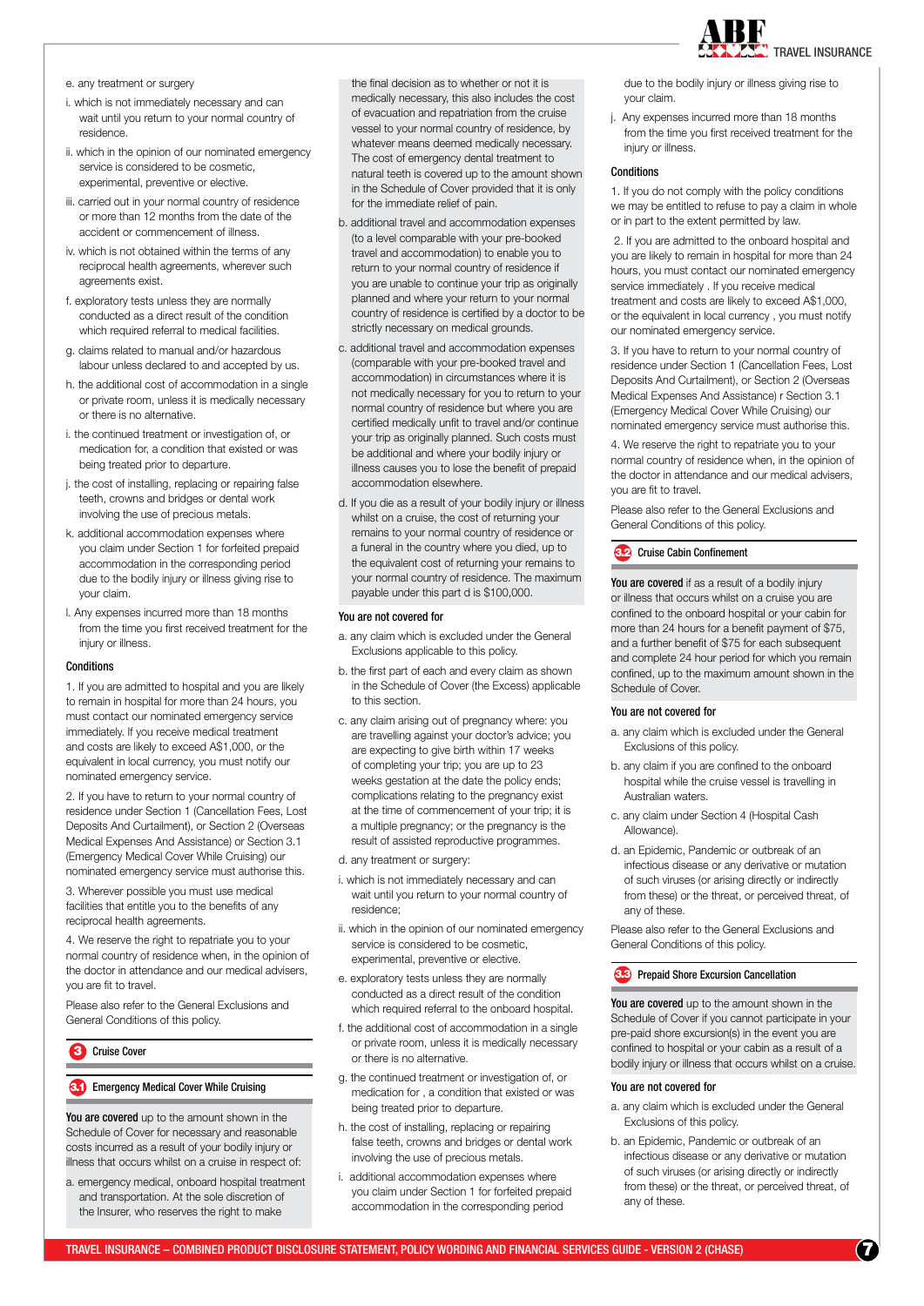

e. any treatment or surgery

- i. which is not immediately necessary and can wait until you return to your normal country of residence.
- ii. which in the opinion of our nominated emergency service is considered to be cosmetic, experimental, preventive or elective.
- iii. carried out in your normal country of residence or more than 12 months from the date of the accident or commencement of illness.
- iv. which is not obtained within the terms of any reciprocal health agreements, wherever such agreements exist.
- f. exploratory tests unless they are normally conducted as a direct result of the condition which required referral to medical facilities
- g. claims related to manual and/or hazardous labour unless declared to and accepted by us.
- h. the additional cost of accommodation in a single or private room, unless it is medically necessary or there is no alternative.
- i. the continued treatment or investigation of, or medication for, a condition that existed or was being treated prior to departure.
- j. the cost of installing, replacing or repairing false teeth, crowns and bridges or dental work involving the use of precious metals.
- k. additional accommodation expenses where you claim under Section 1 for forfeited prepaid accommodation in the corresponding period due to the bodily injury or illness giving rise to your claim.
- l. Any expenses incurred more than 18 months from the time you first received treatment for the injury or illness.

## **Conditions**

1. If you are admitted to hospital and you are likely to remain in hospital for more than 24 hours, you must contact our nominated emergency service immediately. If you receive medical treatment and costs are likely to exceed A\$1,000, or the equivalent in local currency, you must notify our nominated emergency service.

2. If you have to return to your normal country of residence under Section 1 (Cancellation Fees, Lost Deposits And Curtailment), or Section 2 (Overseas Medical Expenses And Assistance) or Section 3.1 (Emergency Medical Cover While Cruising) our nominated emergency service must authorise this.

3. Wherever possible you must use medical facilities that entitle you to the benefits of any reciprocal health agreements.

4. We reserve the right to repatriate you to your normal country of residence when, in the opinion of the doctor in attendance and our medical advisers, you are fit to travel.

Please also refer to the General Exclusions and General Conditions of this policy.

# 3 Cruise Cover

# **Emergency Medical Cover While Cruising**

You are covered up to the amount shown in the Schedule of Cover for necessary and reasonable costs incurred as a result of your bodily injury or illness that occurs whilst on a cruise in respect of:

a. emergency medical, onboard hospital treatment and transportation. At the sole discretion of the Insurer, who reserves the right to make

the final decision as to whether or not it is medically necessary, this also includes the cost of evacuation and repatriation from the cruise vessel to your normal country of residence, by whatever means deemed medically necessary. The cost of emergency dental treatment to natural teeth is covered up to the amount shown in the Schedule of Cover provided that it is only for the immediate relief of pain.

- b. additional travel and accommodation expenses (to a level comparable with your pre-booked travel and accommodation) to enable you to return to your normal country of residence if you are unable to continue your trip as originally planned and where your return to your normal country of residence is certified by a doctor to be strictly necessary on medical grounds.
- c. additional travel and accommodation expenses (comparable with your pre-booked travel and accommodation) in circumstances where it is not medically necessary for you to return to your normal country of residence but where you are certified medically unfit to travel and/or continue your trip as originally planned. Such costs must be additional and where your bodily injury or illness causes you to lose the benefit of prepaid accommodation elsewhere.
- d. If you die as a result of your bodily injury or illness whilst on a cruise, the cost of returning your remains to your normal country of residence or a funeral in the country where you died, up to the equivalent cost of returning your remains to your normal country of residence. The maximum payable under this part d is \$100,000.

#### You are not covered for

- a. any claim which is excluded under the General Exclusions applicable to this policy.
- b. the first part of each and every claim as shown in the Schedule of Cover (the Excess) applicable to this section.
- c. any claim arising out of pregnancy where: you are travelling against your doctor's advice; you are expecting to give birth within 17 weeks of completing your trip; you are up to 23 weeks gestation at the date the policy ends: complications relating to the pregnancy exist at the time of commencement of your trip; it is a multiple pregnancy; or the pregnancy is the result of assisted reproductive programmes.
- d. any treatment or surgery:
- i. which is not immediately necessary and can wait until you return to your normal country of residence;
- ii. which in the opinion of our nominated emergency service is considered to be cosmetic, experimental, preventive or elective.
- e. exploratory tests unless they are normally conducted as a direct result of the condition which required referral to the onboard hospital.
- f. the additional cost of accommodation in a single or private room, unless it is medically necessary or there is no alternative.
- g. the continued treatment or investigation of, or medication for , a condition that existed or was being treated prior to departure.
- h. the cost of installing, replacing or repairing false teeth, crowns and bridges or dental work involving the use of precious metals.
- i. additional accommodation expenses where you claim under Section 1 for forfeited prepaid accommodation in the corresponding period

due to the bodily injury or illness giving rise to your claim.

j. Any expenses incurred more than 18 months from the time you first received treatment for the injury or illness.

# **Conditions**

1. If you do not comply with the policy conditions we may be entitled to refuse to pay a claim in whole or in part to the extent permitted by law.

 2. If you are admitted to the onboard hospital and you are likely to remain in hospital for more than 24 hours, you must contact our nominated emergency service immediately . If you receive medical treatment and costs are likely to exceed A\$1,000, or the equivalent in local currency , you must notify our nominated emergency service.

3. If you have to return to your normal country of residence under Section 1 (Cancellation Fees, Lost Deposits And Curtailment), or Section 2 (Overseas Medical Expenses And Assistance) r Section 3.1 (Emergency Medical Cover While Cruising) our nominated emergency service must authorise this.

4. We reserve the right to repatriate you to your normal country of residence when, in the opinion of the doctor in attendance and our medical advisers, you are fit to travel.

Please also refer to the General Exclusions and General Conditions of this policy.

## 3.2 Cruise Cabin Confinement

You are covered if as a result of a bodily injury or illness that occurs whilst on a cruise you are confined to the onboard hospital or your cabin for more than 24 hours for a benefit payment of \$75, and a further benefit of \$75 for each subsequent and complete 24 hour period for which you remain confined, up to the maximum amount shown in the Schedule of Cover.

### You are not covered for

- a. any claim which is excluded under the General Exclusions of this policy.
- b. any claim if you are confined to the onboard hospital while the cruise vessel is travelling in Australian waters.
- c. any claim under Section 4 (Hospital Cash Allowance).
- d. an Epidemic, Pandemic or outbreak of an infectious disease or any derivative or mutation of such viruses (or arising directly or indirectly from these) or the threat, or perceived threat, of any of these.

Please also refer to the General Exclusions and General Conditions of this policy.

# **Prepaid Shore Excursion Cancellation**

You are covered up to the amount shown in the Schedule of Cover if you cannot participate in your pre-paid shore excursion(s) in the event you are confined to hospital or your cabin as a result of a bodily injury or illness that occurs whilst on a cruise.

# You are not covered for

- a. any claim which is excluded under the General Exclusions of this policy.
- b. an Epidemic, Pandemic or outbreak of an infectious disease or any derivative or mutation of such viruses (or arising directly or indirectly from these) or the threat, or perceived threat, of any of these.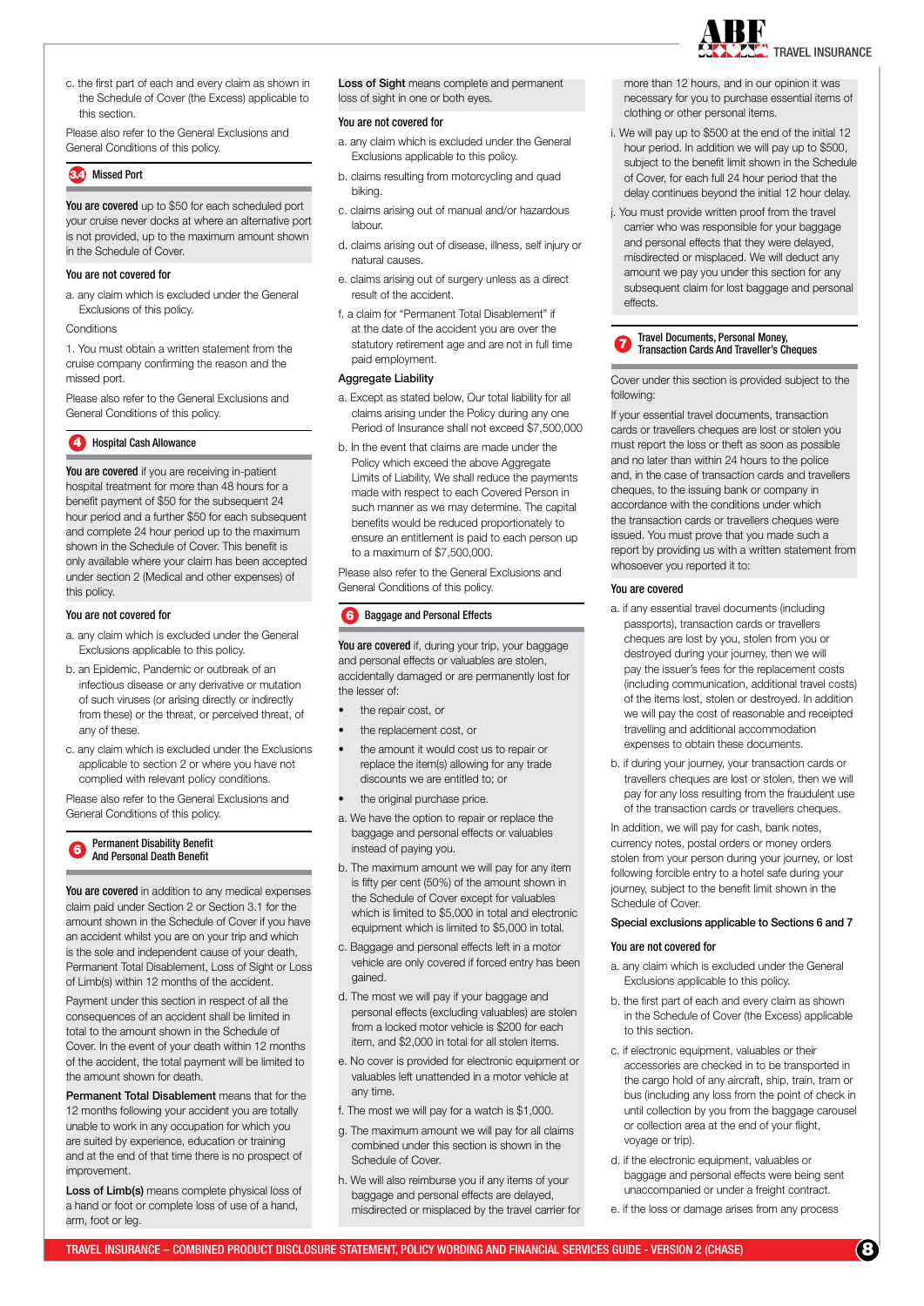

c. the first part of each and every claim as shown in the Schedule of Cover (the Excess) applicable to this section.

Please also refer to the General Exclusions and General Conditions of this policy.

#### **Missed Port**

You are covered up to \$50 for each scheduled port your cruise never docks at where an alternative port is not provided, up to the maximum amount shown in the Schedule of Cover.

# You are not covered for

- a. any claim which is excluded under the General Exclusions of this policy.
- **Conditions**

1. You must obtain a written statement from the cruise company confirming the reason and the missed port.

Please also refer to the General Exclusions and General Conditions of this policy.

#### **4 Hospital Cash Allowance**

You are covered if you are receiving in-patient hospital treatment for more than 48 hours for a benefit payment of \$50 for the subsequent 24 hour period and a further \$50 for each subsequent and complete 24 hour period up to the maximum shown in the Schedule of Cover. This benefit is only available where your claim has been accepted under section 2 (Medical and other expenses) of this policy.

#### You are not covered for

- a. any claim which is excluded under the General Exclusions applicable to this policy.
- b. an Epidemic, Pandemic or outbreak of an infectious disease or any derivative or mutation of such viruses (or arising directly or indirectly from these) or the threat, or perceived threat, of any of these.
- c. any claim which is excluded under the Exclusions applicable to section 2 or where you have not complied with relevant policy conditions.

Please also refer to the General Exclusions and General Conditions of this policy.

#### **6** Permanent Disability Benefit And Personal Death Benefit

You are covered in addition to any medical expenses claim paid under Section 2 or Section 3.1 for the amount shown in the Schedule of Cover if you have an accident whilst you are on your trip and which is the sole and independent cause of your death, Permanent Total Disablement, Loss of Sight or Loss of Limb(s) within 12 months of the accident.

Payment under this section in respect of all the consequences of an accident shall be limited in total to the amount shown in the Schedule of Cover. In the event of your death within 12 months of the accident, the total payment will be limited to the amount shown for death.

Permanent Total Disablement means that for the 12 months following your accident you are totally unable to work in any occupation for which you are suited by experience, education or training and at the end of that time there is no prospect of improvement.

Loss of Limb(s) means complete physical loss of a hand or foot or complete loss of use of a hand, arm, foot or leg.

Loss of Sight means complete and permanent loss of sight in one or both eyes.

# You are not covered for

- a. any claim which is excluded under the General Exclusions applicable to this policy.
- b. claims resulting from motorcycling and quad biking.
- c. claims arising out of manual and/or hazardous labour.
- d. claims arising out of disease, illness, self injury or natural causes.
- e. claims arising out of surgery unless as a direct result of the accident.
- f. a claim for "Permanent Total Disablement" if at the date of the accident you are over the statutory retirement age and are not in full time paid employment.

# Aggregate Liability

- a. Except as stated below, Our total liability for all claims arising under the Policy during any one Period of Insurance shall not exceed \$7,500,000
- b. In the event that claims are made under the Policy which exceed the above Aggregate Limits of Liability, We shall reduce the payments made with respect to each Covered Person in such manner as we may determine. The capital benefits would be reduced proportionately to ensure an entitlement is paid to each person up to a maximum of \$7,500,000.

Please also refer to the General Exclusions and General Conditions of this policy.

# **6** Baggage and Personal Effects

You are covered if, during your trip, your baggage and personal effects or valuables are stolen, accidentally damaged or are permanently lost for the lesser of:

- the repair cost, or
- the replacement cost, or
- the amount it would cost us to repair or replace the item(s) allowing for any trade discounts we are entitled to; or
- the original purchase price.
- a. We have the option to repair or replace the baggage and personal effects or valuables instead of paying you.
- b. The maximum amount we will pay for any item is fifty per cent (50%) of the amount shown in the Schedule of Cover except for valuables which is limited to \$5,000 in total and electronic equipment which is limited to \$5,000 in total.
- c. Baggage and personal effects left in a motor vehicle are only covered if forced entry has been gained.
- d. The most we will pay if your baggage and personal effects (excluding valuables) are stolen from a locked motor vehicle is \$200 for each item, and \$2,000 in total for all stolen items.
- e. No cover is provided for electronic equipment or valuables left unattended in a motor vehicle at any time.
- f. The most we will pay for a watch is \$1,000.
- g. The maximum amount we will pay for all claims combined under this section is shown in the Schedule of Cover.
- h. We will also reimburse you if any items of your baggage and personal effects are delayed, misdirected or misplaced by the travel carrier for

more than 12 hours, and in our opinion it was necessary for you to purchase essential items of clothing or other personal items.

- We will pay up to \$500 at the end of the initial 12 hour period. In addition we will pay up to \$500, subject to the benefit limit shown in the Schedule of Cover, for each full 24 hour period that the delay continues beyond the initial 12 hour delay.
- j. You must provide written proof from the travel carrier who was responsible for your baggage and personal effects that they were delayed, misdirected or misplaced. We will deduct any amount we pay you under this section for any subsequent claim for lost baggage and personal effects.

<sup>7</sup> Travel Documents, Personal Money, Transaction Cards And Traveller's Cheques

Cover under this section is provided subject to the following:

If your essential travel documents, transaction cards or travellers cheques are lost or stolen you must report the loss or theft as soon as possible and no later than within 24 hours to the police and, in the case of transaction cards and travellers cheques, to the issuing bank or company in accordance with the conditions under which the transaction cards or travellers cheques were issued. You must prove that you made such a report by providing us with a written statement from whosoever you reported it to:

# You are covered

- a. if any essential travel documents (including passports), transaction cards or travellers cheques are lost by you, stolen from you or destroyed during your journey, then we will pay the issuer's fees for the replacement costs (including communication, additional travel costs) of the items lost, stolen or destroyed. In addition we will pay the cost of reasonable and receipted travelling and additional accommodation expenses to obtain these documents.
- b. if during your journey, your transaction cards or travellers cheques are lost or stolen, then we will pay for any loss resulting from the fraudulent use of the transaction cards or travellers cheques.

In addition, we will pay for cash, bank notes, currency notes, postal orders or money orders stolen from your person during your journey, or lost following forcible entry to a hotel safe during your journey, subject to the benefit limit shown in the Schedule of Cover.

# Special exclusions applicable to Sections 6 and 7

#### You are not covered for

- a. any claim which is excluded under the General Exclusions applicable to this policy.
- b. the first part of each and every claim as shown in the Schedule of Cover (the Excess) applicable to this section.
- c. if electronic equipment, valuables or their accessories are checked in to be transported in the cargo hold of any aircraft, ship, train, tram or bus (including any loss from the point of check in until collection by you from the baggage carousel or collection area at the end of your flight, voyage or trip).
- d. if the electronic equipment, valuables or baggage and personal effects were being sent unaccompanied or under a freight contract.
- e. if the loss or damage arises from any process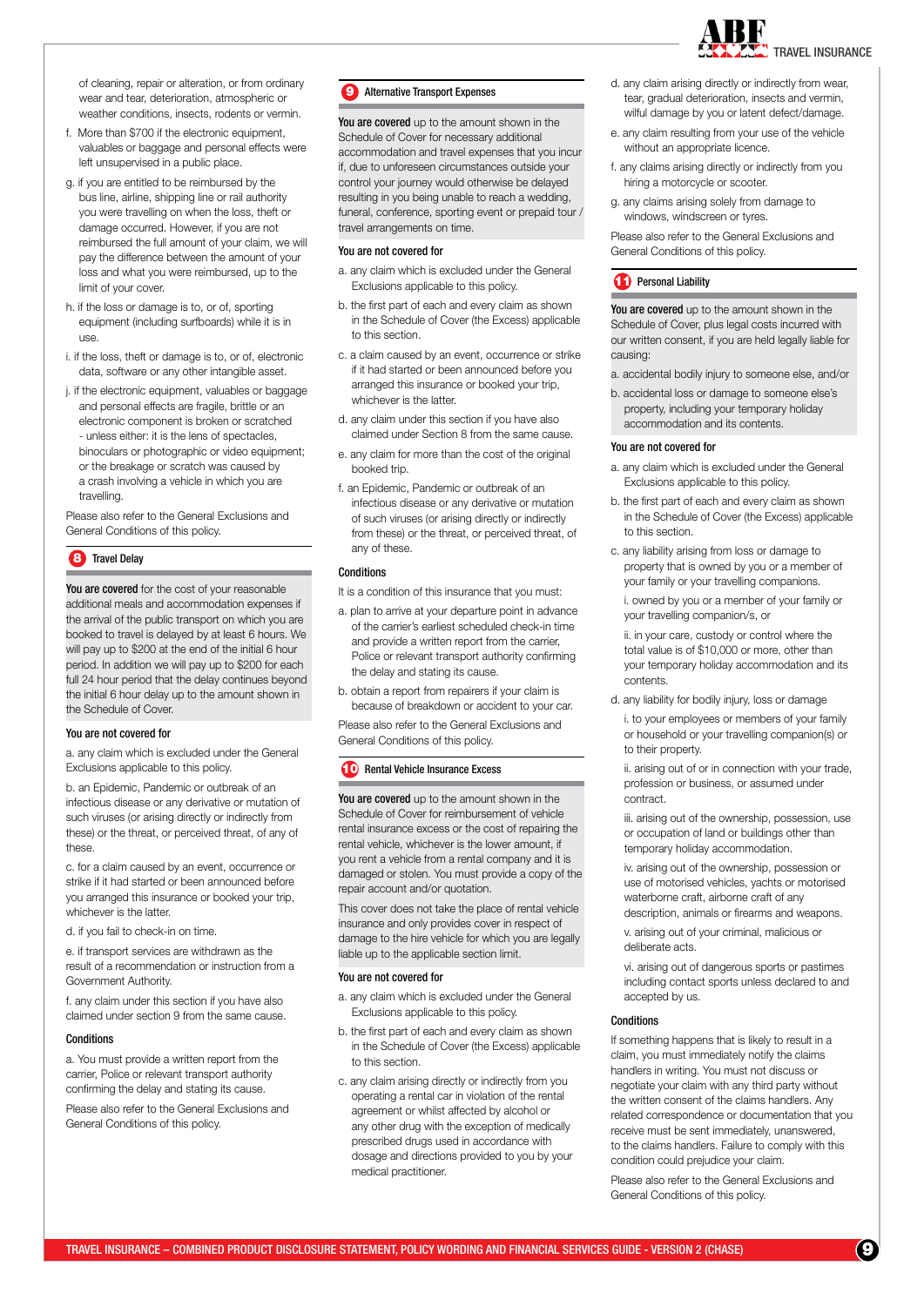TRAVEL INSURANCE

of cleaning, repair or alteration, or from ordinary wear and tear, deterioration, atmospheric or weather conditions, insects, rodents or vermin.

- f. More than \$700 if the electronic equipment, valuables or baggage and personal effects were left unsupervised in a public place.
- g. if you are entitled to be reimbursed by the bus line, airline, shipping line or rail authority you were travelling on when the loss, theft or damage occurred. However, if you are not reimbursed the full amount of your claim, we will pay the difference between the amount of your loss and what you were reimbursed, up to the limit of your cover.
- h. if the loss or damage is to, or of, sporting equipment (including surfboards) while it is in use.
- i. if the loss, theft or damage is to, or of, electronic data, software or any other intangible asset.
- j. if the electronic equipment, valuables or baggage and personal effects are fragile, brittle or an electronic component is broken or scratched - unless either: it is the lens of spectacles, binoculars or photographic or video equipment; or the breakage or scratch was caused by a crash involving a vehicle in which you are travelling.

Please also refer to the General Exclusions and General Conditions of this policy.

# 8 Travel Delay

You are covered for the cost of your reasonable additional meals and accommodation expenses if the arrival of the public transport on which you are booked to travel is delayed by at least 6 hours. We will pay up to \$200 at the end of the initial 6 hour period. In addition we will pay up to \$200 for each full 24 hour period that the delay continues beyond the initial 6 hour delay up to the amount shown in the Schedule of Cover.

#### You are not covered for

a. any claim which is excluded under the General Exclusions applicable to this policy.

b. an Epidemic, Pandemic or outbreak of an infectious disease or any derivative or mutation of such viruses (or arising directly or indirectly from these) or the threat, or perceived threat, of any of these.

c. for a claim caused by an event, occurrence or strike if it had started or been announced before you arranged this insurance or booked your trip, whichever is the latter.

d. if you fail to check-in on time.

e. if transport services are withdrawn as the result of a recommendation or instruction from a Government Authority.

f. any claim under this section if you have also claimed under section 9 from the same cause.

#### **Conditions**

a. You must provide a written report from the carrier, Police or relevant transport authority confirming the delay and stating its cause.

Please also refer to the General Exclusions and General Conditions of this policy.

# **9** Alternative Transport Expenses

You are covered up to the amount shown in the Schedule of Cover for necessary additional accommodation and travel expenses that you incur if, due to unforeseen circumstances outside your control your journey would otherwise be delayed resulting in you being unable to reach a wedding, funeral, conference, sporting event or prepaid tour / travel arrangements on time.

#### You are not covered for

- a. any claim which is excluded under the General Exclusions applicable to this policy.
- b. the first part of each and every claim as shown in the Schedule of Cover (the Excess) applicable to this section.
- c. a claim caused by an event, occurrence or strike if it had started or been announced before you arranged this insurance or booked your trip, whichever is the latter
- d. any claim under this section if you have also claimed under Section 8 from the same cause.
- e. any claim for more than the cost of the original booked trip.
- f. an Epidemic, Pandemic or outbreak of an infectious disease or any derivative or mutation of such viruses (or arising directly or indirectly from these) or the threat, or perceived threat, of any of these.

## **Conditions**

It is a condition of this insurance that you must:

- a. plan to arrive at your departure point in advance of the carrier's earliest scheduled check-in time and provide a written report from the carrier Police or relevant transport authority confirming the delay and stating its cause.
- b. obtain a report from repairers if your claim is because of breakdown or accident to your car.

Please also refer to the General Exclusions and General Conditions of this policy.

# **10** Rental Vehicle Insurance Excess

You are covered up to the amount shown in the Schedule of Cover for reimbursement of vehicle rental insurance excess or the cost of repairing the rental vehicle, whichever is the lower amount, if you rent a vehicle from a rental company and it is damaged or stolen. You must provide a copy of the repair account and/or quotation.

This cover does not take the place of rental vehicle insurance and only provides cover in respect of damage to the hire vehicle for which you are legally liable up to the applicable section limit.

#### You are not covered for

- a. any claim which is excluded under the General Exclusions applicable to this policy.
- b. the first part of each and every claim as shown in the Schedule of Cover (the Excess) applicable to this section.
- c. any claim arising directly or indirectly from you operating a rental car in violation of the rental agreement or whilst affected by alcohol or any other drug with the exception of medically prescribed drugs used in accordance with dosage and directions provided to you by your medical practitioner.
- d. any claim arising directly or indirectly from wear, tear, gradual deterioration, insects and vermin, wilful damage by you or latent defect/damage.
- e. any claim resulting from your use of the vehicle without an appropriate licence.
- f. any claims arising directly or indirectly from you hiring a motorcycle or scooter.
- g. any claims arising solely from damage to windows, windscreen or tyres.

Please also refer to the General Exclusions and General Conditions of this policy.

# <sup>1</sup> Personal Liability

You are covered up to the amount shown in the Schedule of Cover, plus legal costs incurred with our written consent, if you are held legally liable for causing:

a. accidental bodily injury to someone else, and/or

b. accidental loss or damage to someone else's property, including your temporary holiday accommodation and its contents.

#### You are not covered for

- a. any claim which is excluded under the General Exclusions applicable to this policy.
- b. the first part of each and every claim as shown in the Schedule of Cover (the Excess) applicable to this section.
- c. any liability arising from loss or damage to property that is owned by you or a member of your family or your travelling companions.
	- i. owned by you or a member of your family or your travelling companion/s, or

ii. in your care, custody or control where the total value is of \$10,000 or more, other than your temporary holiday accommodation and its contents.

d. any liability for bodily injury, loss or damage

i. to your employees or members of your family or household or your travelling companion(s) or to their property.

ii. arising out of or in connection with your trade, profession or business, or assumed under contract.

iii. arising out of the ownership, possession, use or occupation of land or buildings other than temporary holiday accommodation.

iv. arising out of the ownership, possession or use of motorised vehicles, yachts or motorised waterborne craft, airborne craft of any description, animals or firearms and weapons.

v. arising out of your criminal, malicious or deliberate acts.

vi. arising out of dangerous sports or pastimes including contact sports unless declared to and accepted by us.

#### **Conditions**

If something happens that is likely to result in a claim, you must immediately notify the claims handlers in writing. You must not discuss or negotiate your claim with any third party without the written consent of the claims handlers. Any related correspondence or documentation that you receive must be sent immediately, unanswered, to the claims handlers. Failure to comply with this condition could prejudice your claim.

Please also refer to the General Exclusions and General Conditions of this policy.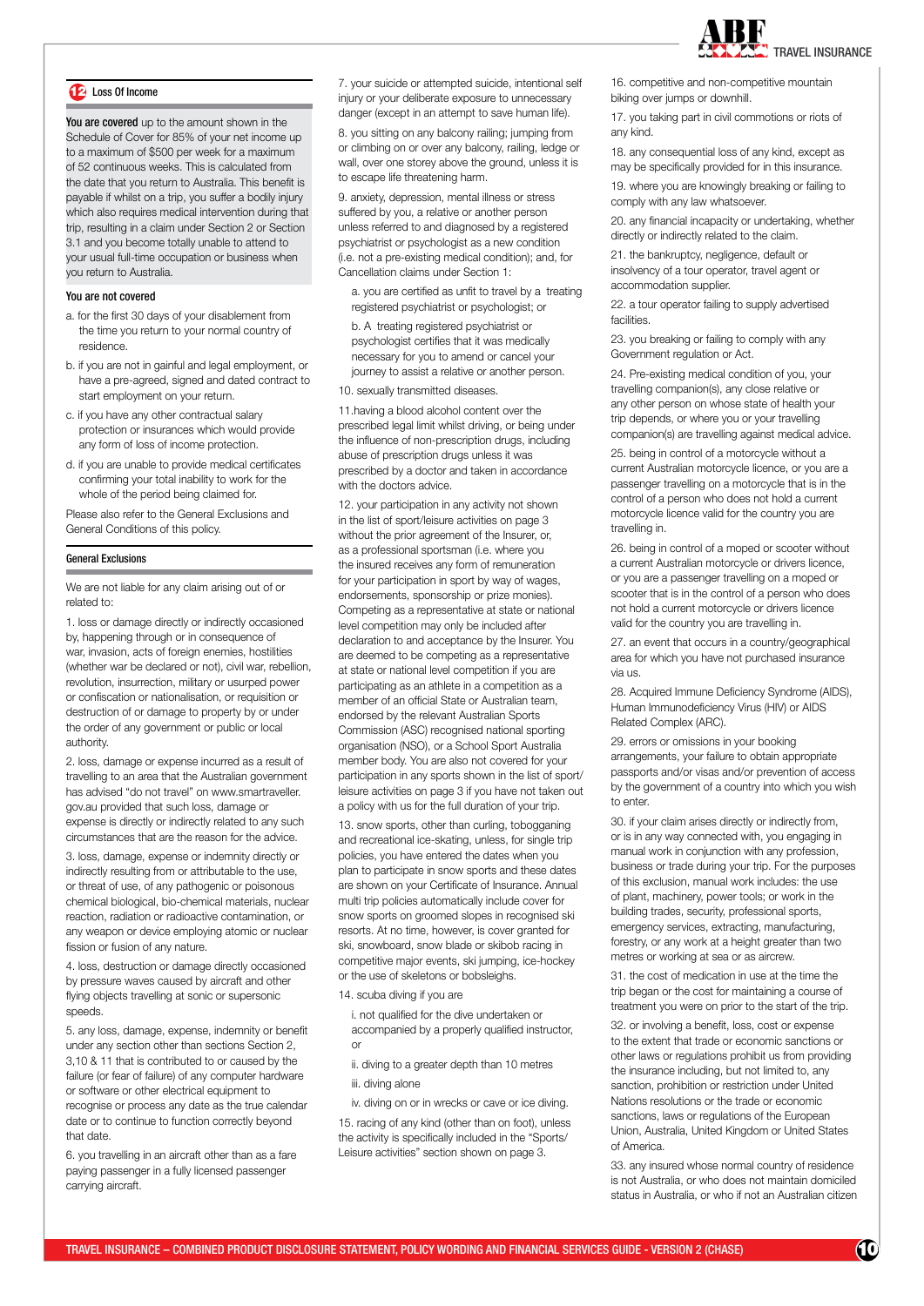

# 12 Loss Of Income

You are covered up to the amount shown in the Schedule of Cover for 85% of your net income up to a maximum of \$500 per week for a maximum of 52 continuous weeks. This is calculated from the date that you return to Australia. This benefit is payable if whilst on a trip, you suffer a bodily injury which also requires medical intervention during that trip, resulting in a claim under Section 2 or Section 3.1 and you become totally unable to attend to your usual full-time occupation or business when you return to Australia.

# You are not covered

- a. for the first 30 days of your disablement from the time you return to your normal country of residence.
- b. if you are not in gainful and legal employment, or have a pre-agreed, signed and dated contract to start employment on your return.
- c. if you have any other contractual salary protection or insurances which would provide any form of loss of income protection.
- d. if you are unable to provide medical certificates confirming your total inability to work for the whole of the period being claimed for.

Please also refer to the General Exclusions and General Conditions of this policy.

# General Exclusions

We are not liable for any claim arising out of or related to:

1. loss or damage directly or indirectly occasioned by, happening through or in consequence of war, invasion, acts of foreign enemies, hostilities (whether war be declared or not), civil war, rebellion, revolution, insurrection, military or usurped power or confiscation or nationalisation, or requisition or destruction of or damage to property by or under the order of any government or public or local authority.

2. loss, damage or expense incurred as a result of travelling to an area that the Australian government has advised "do not travel" on www.smartraveller. gov.au provided that such loss, damage or expense is directly or indirectly related to any such circumstances that are the reason for the advice.

3. loss, damage, expense or indemnity directly or indirectly resulting from or attributable to the use, or threat of use, of any pathogenic or poisonous chemical biological, bio-chemical materials, nuclear reaction, radiation or radioactive contamination, or any weapon or device employing atomic or nuclear fission or fusion of any nature.

4. loss, destruction or damage directly occasioned by pressure waves caused by aircraft and other flying objects travelling at sonic or supersonic speeds.

5. any loss, damage, expense, indemnity or benefit under any section other than sections Section 2, 3,10 & 11 that is contributed to or caused by the failure (or fear of failure) of any computer hardware or software or other electrical equipment to recognise or process any date as the true calendar date or to continue to function correctly beyond that date.

6. you travelling in an aircraft other than as a fare paying passenger in a fully licensed passenger carrying aircraft.

7. your suicide or attempted suicide, intentional self injury or your deliberate exposure to unnecessary danger (except in an attempt to save human life).

8. you sitting on any balcony railing; jumping from or climbing on or over any balcony, railing, ledge or wall, over one storey above the ground, unless it is to escape life threatening harm.

9. anxiety, depression, mental illness or stress suffered by you, a relative or another person unless referred to and diagnosed by a registered psychiatrist or psychologist as a new condition (i.e. not a pre-existing medical condition); and, for Cancellation claims under Section 1:

a. you are certified as unfit to travel by a treating registered psychiatrist or psychologist; or

b. A treating registered psychiatrist or psychologist certifies that it was medically necessary for you to amend or cancel your journey to assist a relative or another person.

10. sexually transmitted diseases.

11.having a blood alcohol content over the prescribed legal limit whilst driving, or being under the influence of non-prescription drugs, including abuse of prescription drugs unless it was prescribed by a doctor and taken in accordance with the doctors advice.

12. your participation in any activity not shown in the list of sport/leisure activities on page 3 without the prior agreement of the Insurer, or, as a professional sportsman (i.e. where you the insured receives any form of remuneration for your participation in sport by way of wages, endorsements, sponsorship or prize monies). Competing as a representative at state or national level competition may only be included after declaration to and acceptance by the Insurer. You are deemed to be competing as a representative at state or national level competition if you are participating as an athlete in a competition as a member of an official State or Australian team, endorsed by the relevant Australian Sports Commission (ASC) recognised national sporting organisation (NSO), or a School Sport Australia member body. You are also not covered for your participation in any sports shown in the list of sport/ leisure activities on page 3 if you have not taken out a policy with us for the full duration of your trip.

13. snow sports, other than curling, tobogganing and recreational ice-skating, unless, for single trip policies, you have entered the dates when you plan to participate in snow sports and these dates are shown on your Certificate of Insurance. Annual multi trip policies automatically include cover for snow sports on groomed slopes in recognised ski resorts. At no time, however, is cover granted for ski, snowboard, snow blade or skibob racing in competitive major events, ski jumping, ice-hockey or the use of skeletons or bobsleighs.

14. scuba diving if you are

i. not qualified for the dive undertaken or accompanied by a properly qualified instructor, or

- ii. diving to a greater depth than 10 metres
- iii. diving alone

iv. diving on or in wrecks or cave or ice diving. 15. racing of any kind (other than on foot), unless the activity is specifically included in the "Sports/ Leisure activities" section shown on page 3.

16. competitive and non-competitive mountain biking over jumps or downhill.

17. you taking part in civil commotions or riots of any kind.

18. any consequential loss of any kind, except as may be specifically provided for in this insurance.

19. where you are knowingly breaking or failing to comply with any law whatsoever.

20. any financial incapacity or undertaking, whether directly or indirectly related to the claim.

21. the bankruptcy, negligence, default or insolvency of a tour operator, travel agent or accommodation supplier.

22. a tour operator failing to supply advertised facilities

23. you breaking or failing to comply with any Government regulation or Act.

24. Pre-existing medical condition of you, your travelling companion(s), any close relative or any other person on whose state of health your trip depends, or where you or your travelling companion(s) are travelling against medical advice.

25. being in control of a motorcycle without a current Australian motorcycle licence, or you are a passenger travelling on a motorcycle that is in the control of a person who does not hold a current motorcycle licence valid for the country you are travelling in.

26. being in control of a moped or scooter without a current Australian motorcycle or drivers licence, or you are a passenger travelling on a moped or scooter that is in the control of a person who does not hold a current motorcycle or drivers licence valid for the country you are travelling in.

27. an event that occurs in a country/geographical area for which you have not purchased insurance via us.

28. Acquired Immune Deficiency Syndrome (AIDS), Human Immunodeficiency Virus (HIV) or AIDS Related Complex (ARC).

29. errors or omissions in your booking arrangements, your failure to obtain appropriate passports and/or visas and/or prevention of access by the government of a country into which you wish to enter.

30. if your claim arises directly or indirectly from, or is in any way connected with, you engaging in manual work in conjunction with any profession, business or trade during your trip. For the purposes of this exclusion, manual work includes: the use of plant, machinery, power tools; or work in the building trades, security, professional sports, emergency services, extracting, manufacturing, forestry, or any work at a height greater than two metres or working at sea or as aircrew.

31. the cost of medication in use at the time the trip began or the cost for maintaining a course of treatment you were on prior to the start of the trip.

32. or involving a benefit, loss, cost or expense to the extent that trade or economic sanctions or other laws or regulations prohibit us from providing the insurance including, but not limited to, any sanction, prohibition or restriction under United Nations resolutions or the trade or economic sanctions, laws or regulations of the European Union, Australia, United Kingdom or United States of America.

33. any insured whose normal country of residence is not Australia, or who does not maintain domiciled status in Australia, or who if not an Australian citizen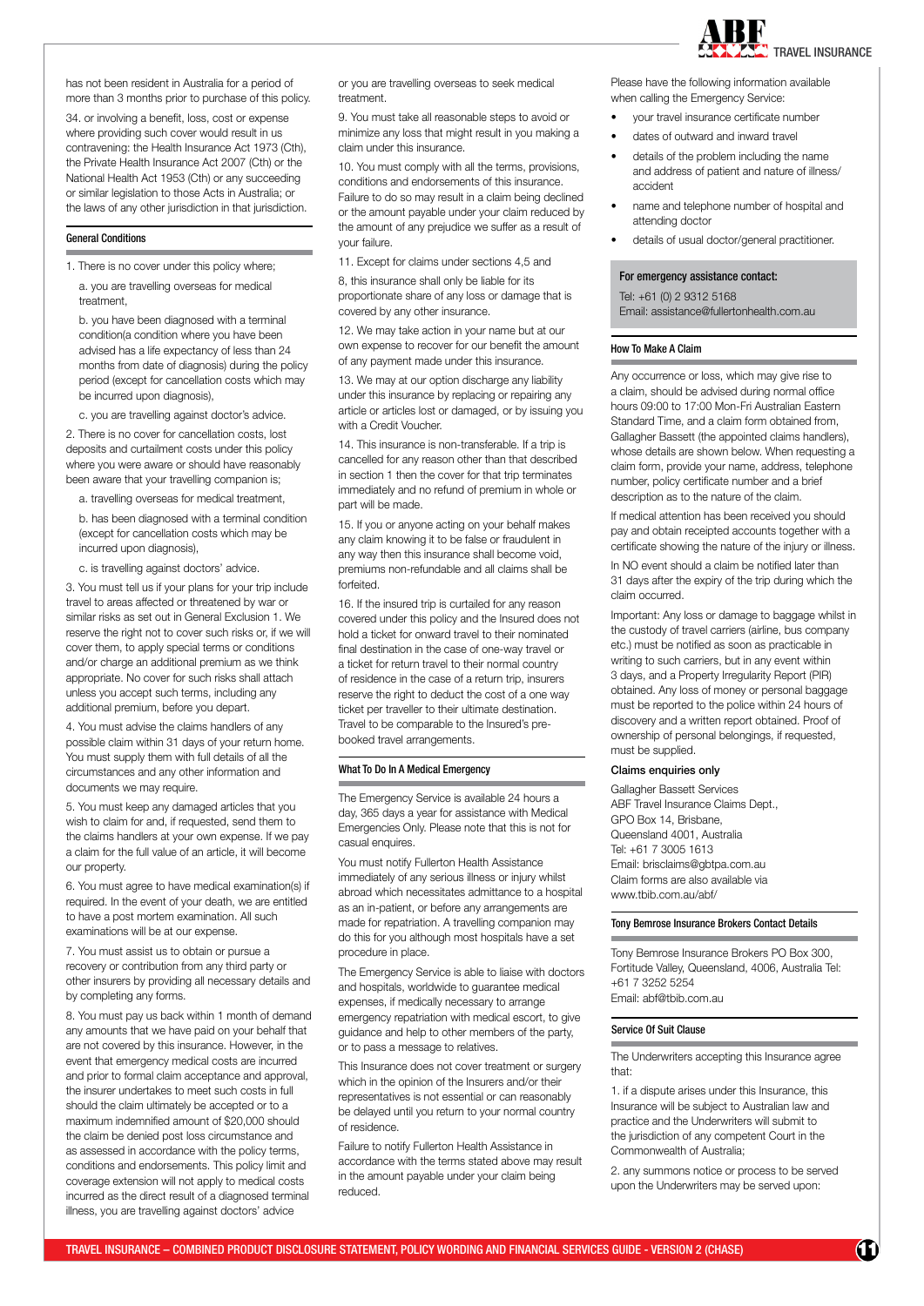

has not been resident in Australia for a period of more than 3 months prior to purchase of this policy.

34. or involving a benefit, loss, cost or expense where providing such cover would result in us contravening: the Health Insurance Act 1973 (Cth), the Private Health Insurance Act 2007 (Cth) or the National Health Act 1953 (Cth) or any succeeding or similar legislation to those Acts in Australia; or the laws of any other jurisdiction in that jurisdiction.

# General Conditions

1. There is no cover under this policy where;

a. you are travelling overseas for medical treatment,

b. you have been diagnosed with a terminal condition(a condition where you have been advised has a life expectancy of less than 24 months from date of diagnosis) during the policy period (except for cancellation costs which may be incurred upon diagnosis),

c. you are travelling against doctor's advice.

2. There is no cover for cancellation costs, lost deposits and curtailment costs under this policy where you were aware or should have reasonably been aware that your travelling companion is;

a. travelling overseas for medical treatment,

b. has been diagnosed with a terminal condition (except for cancellation costs which may be incurred upon diagnosis),

c. is travelling against doctors' advice.

3. You must tell us if your plans for your trip include travel to areas affected or threatened by war or similar risks as set out in General Exclusion 1. We reserve the right not to cover such risks or, if we will cover them, to apply special terms or conditions and/or charge an additional premium as we think appropriate. No cover for such risks shall attach unless you accept such terms, including any additional premium, before you depart.

4. You must advise the claims handlers of any possible claim within 31 days of your return home. You must supply them with full details of all the circumstances and any other information and documents we may require.

5. You must keep any damaged articles that you wish to claim for and, if requested, send them to the claims handlers at your own expense. If we pay a claim for the full value of an article, it will become our property.

6. You must agree to have medical examination(s) if required. In the event of your death, we are entitled to have a post mortem examination. All such examinations will be at our expense.

7. You must assist us to obtain or pursue a recovery or contribution from any third party or other insurers by providing all necessary details and by completing any forms.

8. You must pay us back within 1 month of demand any amounts that we have paid on your behalf that are not covered by this insurance. However, in the event that emergency medical costs are incurred and prior to formal claim acceptance and approval, the insurer undertakes to meet such costs in full should the claim ultimately be accepted or to a maximum indemnified amount of \$20,000 should the claim be denied post loss circumstance and as assessed in accordance with the policy terms, conditions and endorsements. This policy limit and coverage extension will not apply to medical costs incurred as the direct result of a diagnosed terminal illness, you are travelling against doctors' advice

or you are travelling overseas to seek medical treatment.

9. You must take all reasonable steps to avoid or minimize any loss that might result in you making a claim under this insurance.

10. You must comply with all the terms, provisions, conditions and endorsements of this insurance. Failure to do so may result in a claim being declined or the amount payable under your claim reduced by the amount of any prejudice we suffer as a result of your failure.

11. Except for claims under sections 4,5 and

8, this insurance shall only be liable for its proportionate share of any loss or damage that is covered by any other insurance.

12. We may take action in your name but at our own expense to recover for our benefit the amount of any payment made under this insurance.

13. We may at our option discharge any liability under this insurance by replacing or repairing any article or articles lost or damaged, or by issuing you with a Credit Voucher.

14. This insurance is non-transferable. If a trip is cancelled for any reason other than that described in section 1 then the cover for that trip terminates immediately and no refund of premium in whole or part will be made.

15. If you or anyone acting on your behalf makes any claim knowing it to be false or fraudulent in any way then this insurance shall become void, premiums non-refundable and all claims shall be forfeited.

16. If the insured trip is curtailed for any reason covered under this policy and the Insured does not hold a ticket for onward travel to their nominated final destination in the case of one-way travel or a ticket for return travel to their normal country of residence in the case of a return trip, insurers reserve the right to deduct the cost of a one way ticket per traveller to their ultimate destination. Travel to be comparable to the Insured's prebooked travel arrangements.

# What To Do In A Medical Emergency

The Emergency Service is available 24 hours a day, 365 days a year for assistance with Medical Emergencies Only. Please note that this is not for casual enquires.

You must notify Fullerton Health Assistance immediately of any serious illness or injury whilst abroad which necessitates admittance to a hospital as an in-patient, or before any arrangements are made for repatriation. A travelling companion may do this for you although most hospitals have a set procedure in place.

The Emergency Service is able to liaise with doctors and hospitals, worldwide to guarantee medical expenses, if medically necessary to arrange emergency repatriation with medical escort, to give guidance and help to other members of the party, or to pass a message to relatives.

This Insurance does not cover treatment or surgery which in the opinion of the Insurers and/or their representatives is not essential or can reasonably be delayed until you return to your normal country of residence.

Failure to notify Fullerton Health Assistance in accordance with the terms stated above may result in the amount payable under your claim being reduced.

Please have the following information available when calling the Emergency Service:

- your travel insurance certificate number
- dates of outward and inward travel
- details of the problem including the name and address of patient and nature of illness/ accident
- name and telephone number of hospital and attending doctor
- details of usual doctor/general practitioner.

#### For emergency assistance contact:

Tel: +61 (0) 2 9312 5168 Email: assistance@fullertonhealth.com.au

# How To Make A Claim

Any occurrence or loss, which may give rise to a claim, should be advised during normal office hours 09:00 to 17:00 Mon-Fri Australian Eastern Standard Time, and a claim form obtained from, Gallagher Bassett (the appointed claims handlers), whose details are shown below. When requesting a claim form, provide your name, address, telephone number, policy certificate number and a brief description as to the nature of the claim.

If medical attention has been received you should pay and obtain receipted accounts together with a certificate showing the nature of the injury or illness.

In NO event should a claim be notified later than 31 days after the expiry of the trip during which the claim occurred.

Important: Any loss or damage to baggage whilst in the custody of travel carriers (airline, bus company etc.) must be notified as soon as practicable in writing to such carriers, but in any event within 3 days, and a Property Irregularity Report (PIR) obtained. Any loss of money or personal baggage must be reported to the police within 24 hours of discovery and a written report obtained. Proof of ownership of personal belongings, if requested, must be supplied.

#### Claims enquiries only

Gallagher Bassett Services ABF Travel Insurance Claims Dept., GPO Box 14, Brisbane, Queensland 4001, Australia Tel: +61 7 3005 1613 Email: brisclaims@gbtpa.com.au Claim forms are also available via www.tbib.com.au/abf/

# Tony Bemrose Insurance Brokers Contact Details

Tony Bemrose Insurance Brokers PO Box 300, Fortitude Valley, Queensland, 4006, Australia Tel: +61 7 3252 5254 Email: abf@tbib.com.au

# Service Of Suit Clause

The Underwriters accepting this Insurance agree that:

1. if a dispute arises under this Insurance, this Insurance will be subject to Australian law and practice and the Underwriters will submit to the jurisdiction of any competent Court in the Commonwealth of Australia;

2. any summons notice or process to be served upon the Underwriters may be served upon: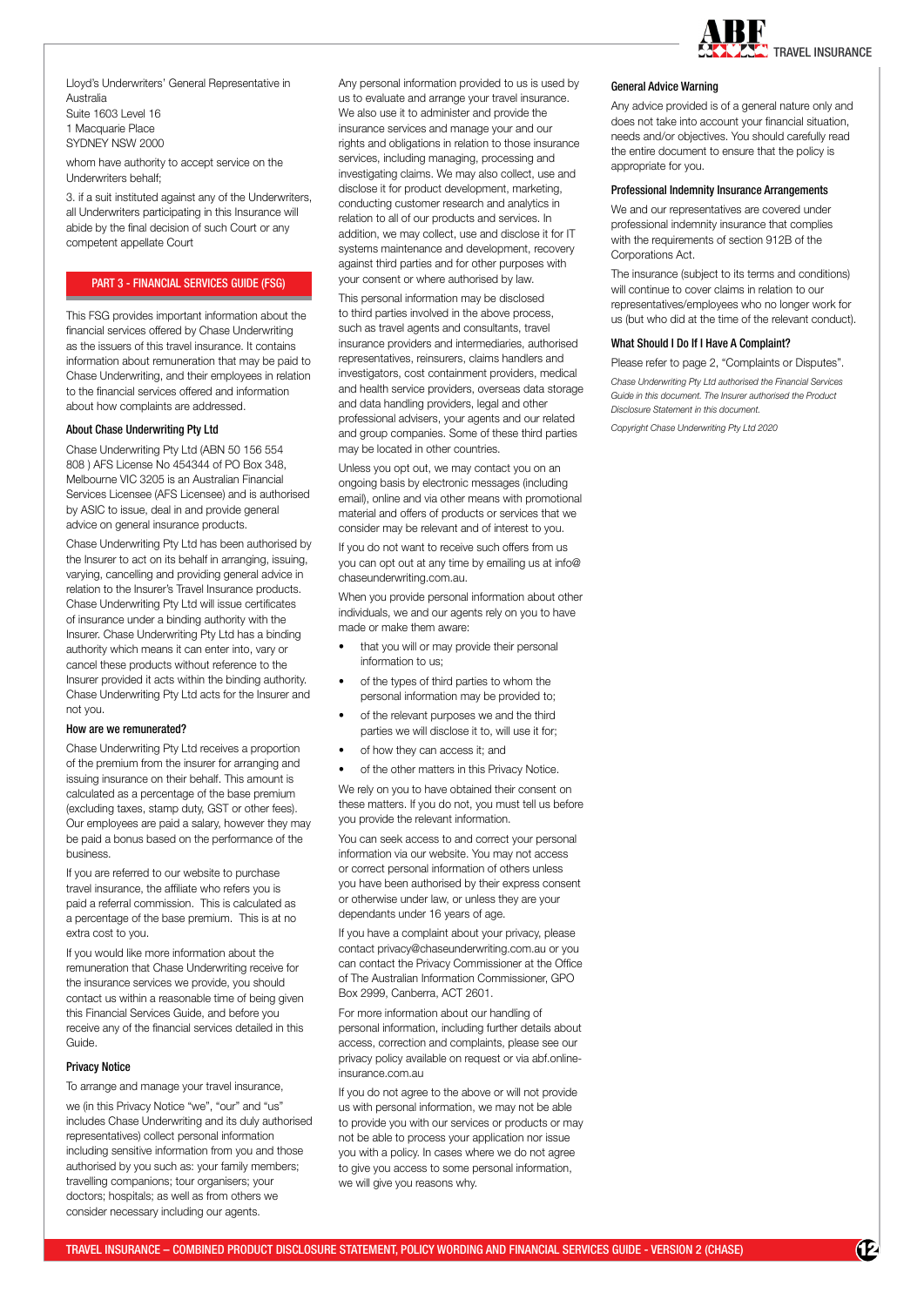

Lloyd's Underwriters' General Representative in Australia Suite 1603 Level 16 1 Macquarie Place SYDNEY NSW 2000

whom have authority to accept service on the Underwriters behalf;

3. if a suit instituted against any of the Underwriters, all Underwriters participating in this Insurance will abide by the final decision of such Court or any competent appellate Court

# PART 3 - FINANCIAL SERVICES GUIDE (FSG)

This FSG provides important information about the financial services offered by Chase Underwriting as the issuers of this travel insurance. It contains information about remuneration that may be paid to Chase Underwriting, and their employees in relation to the financial services offered and information about how complaints are addressed.

#### About Chase Underwriting Pty Ltd

Chase Underwriting Pty Ltd (ABN 50 156 554 808 ) AFS License No 454344 of PO Box 348, Melbourne VIC 3205 is an Australian Financial Services Licensee (AFS Licensee) and is authorised by ASIC to issue, deal in and provide general advice on general insurance products.

Chase Underwriting Pty Ltd has been authorised by the Insurer to act on its behalf in arranging, issuing, varying, cancelling and providing general advice in relation to the Insurer's Travel Insurance products. Chase Underwriting Pty Ltd will issue certificates of insurance under a binding authority with the Insurer. Chase Underwriting Pty Ltd has a binding authority which means it can enter into, vary or cancel these products without reference to the Insurer provided it acts within the binding authority. Chase Underwriting Pty Ltd acts for the Insurer and not you.

#### How are we remunerated?

Chase Underwriting Pty Ltd receives a proportion of the premium from the insurer for arranging and issuing insurance on their behalf. This amount is calculated as a percentage of the base premium (excluding taxes, stamp duty, GST or other fees). Our employees are paid a salary, however they may be paid a bonus based on the performance of the business.

If you are referred to our website to purchase travel insurance, the affiliate who refers you is paid a referral commission. This is calculated as a percentage of the base premium. This is at no extra cost to you.

If you would like more information about the remuneration that Chase Underwriting receive for the insurance services we provide, you should contact us within a reasonable time of being given this Financial Services Guide, and before you receive any of the financial services detailed in this Guide.

#### Privacy Notice

To arrange and manage your travel insurance,

we (in this Privacy Notice "we", "our" and "us" includes Chase Underwriting and its duly authorised representatives) collect personal information including sensitive information from you and those authorised by you such as: your family members; travelling companions; tour organisers; your doctors; hospitals; as well as from others we consider necessary including our agents.

Any personal information provided to us is used by us to evaluate and arrange your travel insurance. We also use it to administer and provide the insurance services and manage your and our rights and obligations in relation to those insurance services, including managing, processing and investigating claims. We may also collect, use and disclose it for product development, marketing, conducting customer research and analytics in relation to all of our products and services. In addition, we may collect, use and disclose it for IT systems maintenance and development, recovery against third parties and for other purposes with your consent or where authorised by law.

This personal information may be disclosed to third parties involved in the above process, such as travel agents and consultants, travel insurance providers and intermediaries, authorised representatives, reinsurers, claims handlers and investigators, cost containment providers, medical and health service providers, overseas data storage and data handling providers, legal and other professional advisers, your agents and our related and group companies. Some of these third parties may be located in other countries.

Unless you opt out, we may contact you on an ongoing basis by electronic messages (including email), online and via other means with promotional material and offers of products or services that we consider may be relevant and of interest to you.

If you do not want to receive such offers from us you can opt out at any time by emailing us at info@ chaseunderwriting.com.au.

When you provide personal information about other individuals, we and our agents rely on you to have made or make them aware:

- that you will or may provide their personal information to us;
- of the types of third parties to whom the personal information may be provided to;
- of the relevant purposes we and the third parties we will disclose it to, will use it for;
- of how they can access it; and
- of the other matters in this Privacy Notice.

We rely on you to have obtained their consent on these matters. If you do not, you must tell us before you provide the relevant information.

You can seek access to and correct your personal information via our website. You may not access or correct personal information of others unless you have been authorised by their express consent or otherwise under law, or unless they are your dependants under 16 years of age.

If you have a complaint about your privacy, please contact privacy@chaseunderwriting.com.au or you can contact the Privacy Commissioner at the Office of The Australian Information Commissioner, GPO Box 2999, Canberra, ACT 2601.

For more information about our handling of personal information, including further details about access, correction and complaints, please see our privacy policy available on request or via abf.onlineinsurance.com.au

If you do not agree to the above or will not provide us with personal information, we may not be able to provide you with our services or products or may not be able to process your application nor issue you with a policy. In cases where we do not agree to give you access to some personal information, we will give you reasons why.

#### General Advice Warning

Any advice provided is of a general nature only and does not take into account your financial situation, needs and/or objectives. You should carefully read the entire document to ensure that the policy is appropriate for you.

#### Professional Indemnity Insurance Arrangements

We and our representatives are covered under professional indemnity insurance that complies with the requirements of section 912B of the Corporations Act.

The insurance (subject to its terms and conditions) will continue to cover claims in relation to our representatives/employees who no longer work for us (but who did at the time of the relevant conduct).

#### What Should I Do If I Have A Complaint?

Please refer to page 2, "Complaints or Disputes".

*Chase Underwriting Pty Ltd authorised the Financial Services Guide in this document. The Insurer authorised the Product Disclosure Statement in this document.* 

*Copyright Chase Underwriting Pty Ltd 2020*